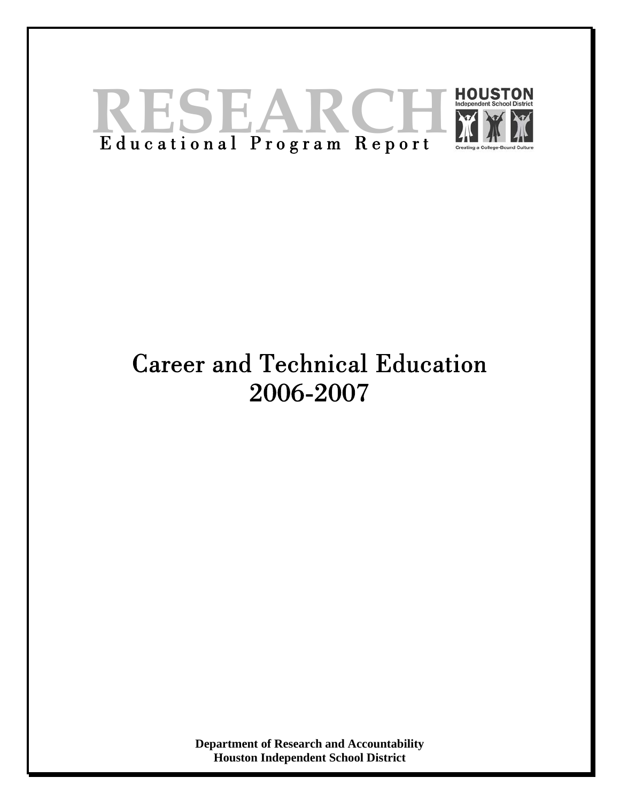

# Career and Technical Education 2006-2007

**Department of Research and Accountability Houston Independent School District**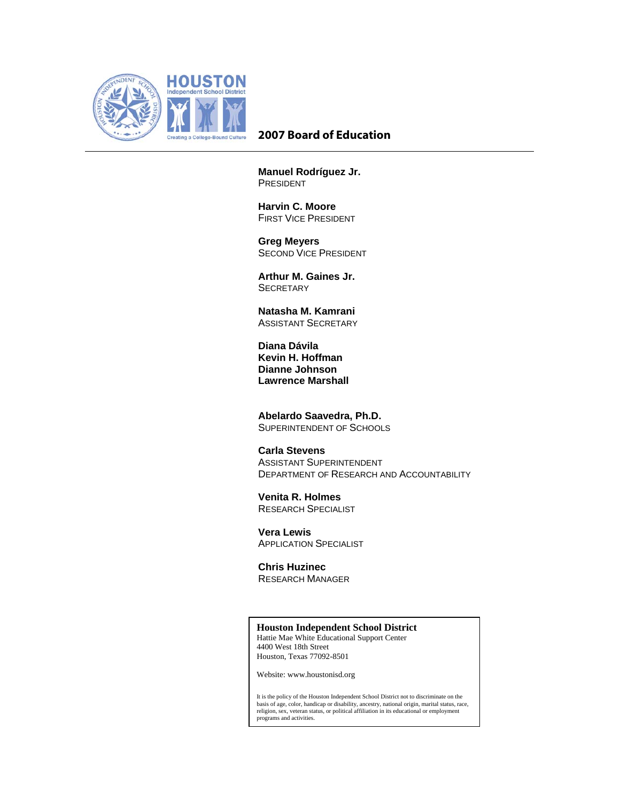

# **2007 Board of Education**

**Manuel Rodríguez Jr.**  PRESIDENT

**Harvin C. Moore**  FIRST VICE PRESIDENT

 **Greg Meyers**  SECOND VICE PRESIDENT

**Arthur M. Gaines Jr. SECRETARY** 

**Natasha M. Kamrani**  ASSISTANT SECRETARY

 **Diana Dávila Kevin H. Hoffman Dianne Johnson Lawrence Marshall** 

**Abelardo Saavedra, Ph.D.**  SUPERINTENDENT OF SCHOOLS

### **Carla Stevens**

 ASSISTANT SUPERINTENDENT DEPARTMENT OF RESEARCH AND ACCOUNTABILITY

**Venita R. Holmes**  RESEARCH SPECIALIST

 **Vera Lewis**  APPLICATION SPECIALIST

 **Chris Huzinec**  RESEARCH MANAGER

#### **Houston Independent School District**

Hattie Mae White Educational Support Center 4400 West 18th Street Houston, Texas 77092-8501

Website: www.houstonisd.org

It is the policy of the Houston Independent School District not to discriminate on the basis of age, color, handicap or disability, ancestry, national origin, marital status, race, religion, sex, veteran status, or political affiliation in its educational or employment programs and activities.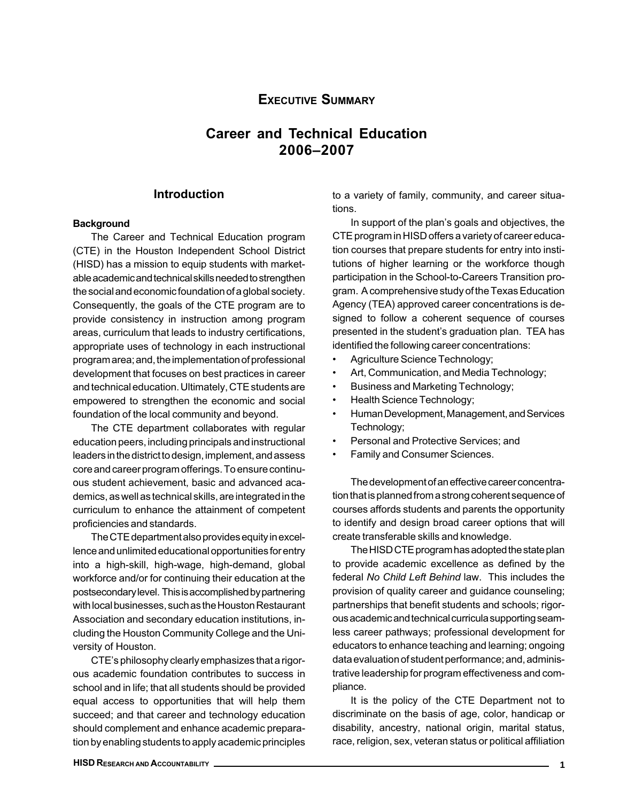# EXECUTIVE SUMMARY

# Career and Technical Education 2006–2007

# Introduction

#### **Background**

The Career and Technical Education program (CTE) in the Houston Independent School District (HISD) has a mission to equip students with marketable academic and technical skills needed to strengthen the social and economic foundation of a global society. Consequently, the goals of the CTE program are to provide consistency in instruction among program areas, curriculum that leads to industry certifications, appropriate uses of technology in each instructional program area; and, the implementation of professional development that focuses on best practices in career and technical education. Ultimately, CTE students are empowered to strengthen the economic and social foundation of the local community and beyond.

The CTE department collaborates with regular education peers, including principals and instructional leaders in the district to design, implement, and assess core and career program offerings. To ensure continuous student achievement, basic and advanced academics, as well as technical skills, are integrated in the curriculum to enhance the attainment of competent proficiencies and standards.

The CTE department also provides equity in excellence and unlimited educational opportunities for entry into a high-skill, high-wage, high-demand, global workforce and/or for continuing their education at the postsecondary level. This is accomplished by partnering with local businesses, such as the Houston Restaurant Association and secondary education institutions, including the Houston Community College and the University of Houston.

CTE's philosophy clearly emphasizes that a rigorous academic foundation contributes to success in school and in life; that all students should be provided equal access to opportunities that will help them succeed; and that career and technology education should complement and enhance academic preparation by enabling students to apply academic principles to a variety of family, community, and career situations.

In support of the plan's goals and objectives, the CTE program in HISD offers a variety of career education courses that prepare students for entry into institutions of higher learning or the workforce though participation in the School-to-Careers Transition program. A comprehensive study of the Texas Education Agency (TEA) approved career concentrations is designed to follow a coherent sequence of courses presented in the student's graduation plan. TEA has identified the following career concentrations:

- Agriculture Science Technology;
- Art, Communication, and Media Technology;
- Business and Marketing Technology;
- Health Science Technology;
- Human Development, Management, and Services Technology;
- Personal and Protective Services; and
- Family and Consumer Sciences.

The development of an effective career concentration that is planned from a strong coherent sequence of courses affords students and parents the opportunity to identify and design broad career options that will create transferable skills and knowledge.

The HISD CTE program has adopted the state plan to provide academic excellence as defined by the federal No Child Left Behind law. This includes the provision of quality career and guidance counseling; partnerships that benefit students and schools; rigorous academic and technical curricula supporting seamless career pathways; professional development for educators to enhance teaching and learning; ongoing data evaluation of student performance; and, administrative leadership for program effectiveness and compliance.

It is the policy of the CTE Department not to discriminate on the basis of age, color, handicap or disability, ancestry, national origin, marital status, race, religion, sex, veteran status or political affiliation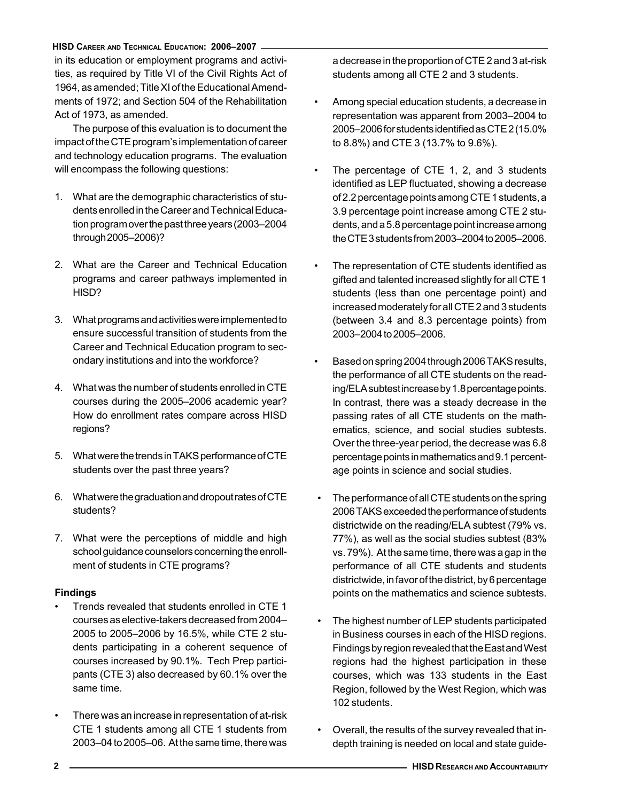in its education or employment programs and activities, as required by Title VI of the Civil Rights Act of 1964, as amended; Title XI of the Educational Amendments of 1972; and Section 504 of the Rehabilitation Act of 1973, as amended.

The purpose of this evaluation is to document the impact of the CTE program's implementation of career and technology education programs. The evaluation will encompass the following questions:

- 1. What are the demographic characteristics of students enrolled in the Career and Technical Education program over the past three years (2003–2004 through 2005–2006)?
- 2. What are the Career and Technical Education programs and career pathways implemented in HISD?
- 3. What programs and activities were implemented to ensure successful transition of students from the Career and Technical Education program to secondary institutions and into the workforce?
- 4. What was the number of students enrolled in CTE courses during the 2005–2006 academic year? How do enrollment rates compare across HISD regions?
- 5. What were the trends in TAKS performance of CTE students over the past three years?
- 6. What were the graduation and dropout rates of CTE students?
- 7. What were the perceptions of middle and high school guidance counselors concerning the enrollment of students in CTE programs?

#### **Findings**

- Trends revealed that students enrolled in CTE 1 courses as elective-takers decreased from 2004– 2005 to 2005–2006 by 16.5%, while CTE 2 students participating in a coherent sequence of courses increased by 90.1%. Tech Prep participants (CTE 3) also decreased by 60.1% over the same time.
- There was an increase in representation of at-risk CTE 1 students among all CTE 1 students from 2003–04 to 2005–06. At the same time, there was

a decrease in the proportion of CTE 2 and 3 at-risk students among all CTE 2 and 3 students.

- Among special education students, a decrease in representation was apparent from 2003–2004 to 2005–2006 for students identified as CTE 2 (15.0% to 8.8%) and CTE 3 (13.7% to 9.6%).
- The percentage of CTE 1, 2, and 3 students identified as LEP fluctuated, showing a decrease of 2.2 percentage points among CTE 1 students, a 3.9 percentage point increase among CTE 2 students, and a 5.8 percentage point increase among the CTE 3 students from 2003–2004 to 2005–2006.
- The representation of CTE students identified as gifted and talented increased slightly for all CTE 1 students (less than one percentage point) and increased moderately for all CTE 2 and 3 students (between 3.4 and 8.3 percentage points) from 2003–2004 to 2005–2006.
- Based on spring 2004 through 2006 TAKS results, the performance of all CTE students on the reading/ELA subtest increase by 1.8 percentage points. In contrast, there was a steady decrease in the passing rates of all CTE students on the mathematics, science, and social studies subtests. Over the three-year period, the decrease was 6.8 percentage points in mathematics and 9.1 percentage points in science and social studies.
- The performance of all CTE students on the spring 2006 TAKS exceeded the performance of students districtwide on the reading/ELA subtest (79% vs. 77%), as well as the social studies subtest (83% vs. 79%). At the same time, there was a gap in the performance of all CTE students and students districtwide, in favor of the district, by 6 percentage points on the mathematics and science subtests.
- The highest number of LEP students participated in Business courses in each of the HISD regions. Findings by region revealed that the East and West regions had the highest participation in these courses, which was 133 students in the East Region, followed by the West Region, which was 102 students.
- Overall, the results of the survey revealed that indepth training is needed on local and state guide-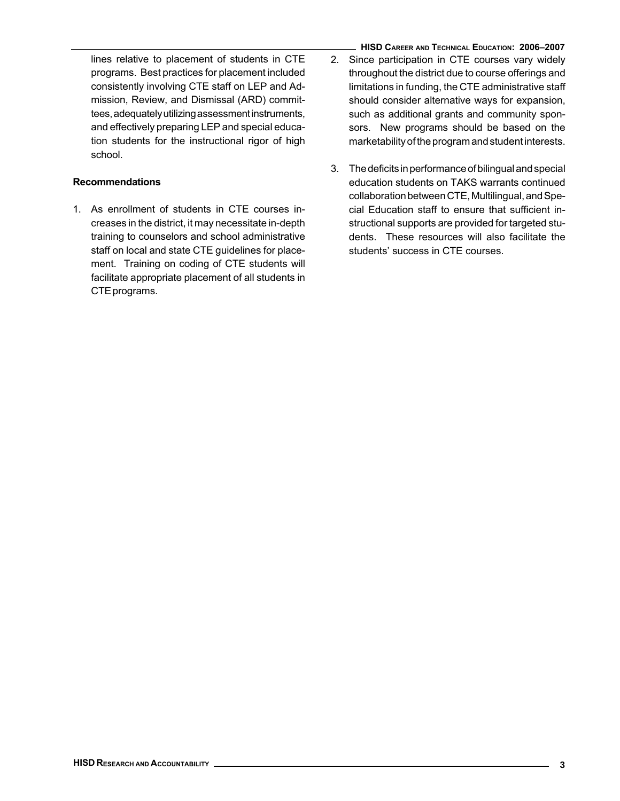lines relative to placement of students in CTE programs. Best practices for placement included consistently involving CTE staff on LEP and Admission, Review, and Dismissal (ARD) committees, adequately utilizing assessment instruments, and effectively preparing LEP and special education students for the instructional rigor of high school.

# Recommendations

- 1. As enrollment of students in CTE courses increases in the district, it may necessitate in-depth training to counselors and school administrative staff on local and state CTE guidelines for placement. Training on coding of CTE students will facilitate appropriate placement of all students in CTE programs.
- HISD CAREER AND TECHNICAL EDUCATION: 2006–2007 2. Since participation in CTE courses vary widely throughout the district due to course offerings and limitations in funding, the CTE administrative staff should consider alternative ways for expansion, such as additional grants and community sponsors. New programs should be based on the marketability of the program and student interests.
- 3. The deficits in performance of bilingual and special education students on TAKS warrants continued collaboration between CTE, Multilingual, and Special Education staff to ensure that sufficient instructional supports are provided for targeted students. These resources will also facilitate the students' success in CTE courses.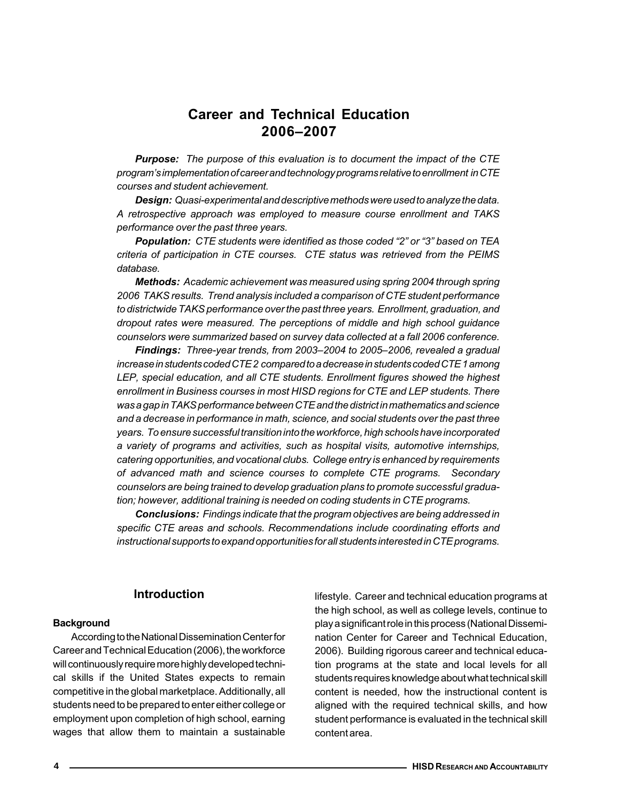# Career and Technical Education 2006–2007

**Purpose:** The purpose of this evaluation is to document the impact of the CTE program's implementation of career and technology programs relative to enrollment in CTE courses and student achievement.

Design: Quasi-experimental and descriptive methods were used to analyze the data. A retrospective approach was employed to measure course enrollment and TAKS performance over the past three years.

Population: CTE students were identified as those coded "2" or "3" based on TEA criteria of participation in CTE courses. CTE status was retrieved from the PEIMS database.

Methods: Academic achievement was measured using spring 2004 through spring 2006 TAKS results. Trend analysis included a comparison of CTE student performance to districtwide TAKS performance over the past three years. Enrollment, graduation, and dropout rates were measured. The perceptions of middle and high school guidance counselors were summarized based on survey data collected at a fall 2006 conference.

Findings: Three-year trends, from 2003-2004 to 2005-2006, revealed a gradual increase in students coded CTE 2 compared to a decrease in students coded CTE 1 among LEP, special education, and all CTE students. Enrollment figures showed the highest enrollment in Business courses in most HISD regions for CTE and LEP students. There was a gap in TAKS performance between CTE and the district in mathematics and science and a decrease in performance in math, science, and social students over the past three years. To ensure successful transition into the workforce, high schools have incorporated a variety of programs and activities, such as hospital visits, automotive internships, catering opportunities, and vocational clubs. College entry is enhanced by requirements of advanced math and science courses to complete CTE programs. Secondary counselors are being trained to develop graduation plans to promote successful graduation; however, additional training is needed on coding students in CTE programs.

Conclusions: Findings indicate that the program objectives are being addressed in specific CTE areas and schools. Recommendations include coordinating efforts and instructional supports to expand opportunities for all students interested in CTE programs.

#### Introduction

#### **Background**

According to the National Dissemination Center for Career and Technical Education (2006), the workforce will continuously require more highly developed technical skills if the United States expects to remain competitive in the global marketplace. Additionally, all students need to be prepared to enter either college or employment upon completion of high school, earning wages that allow them to maintain a sustainable lifestyle. Career and technical education programs at the high school, as well as college levels, continue to play a significant role in this process (National Dissemination Center for Career and Technical Education, 2006). Building rigorous career and technical education programs at the state and local levels for all students requires knowledge about what technical skill content is needed, how the instructional content is aligned with the required technical skills, and how student performance is evaluated in the technical skill content area.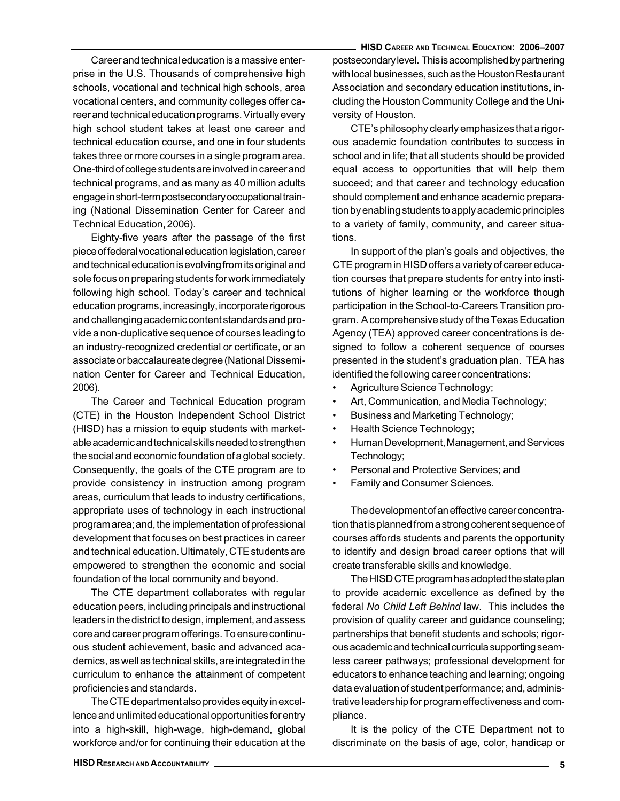Career and technical education is a massive enterprise in the U.S. Thousands of comprehensive high schools, vocational and technical high schools, area vocational centers, and community colleges offer career and technical education programs. Virtually every high school student takes at least one career and technical education course, and one in four students takes three or more courses in a single program area. One-third of college students are involved in career and technical programs, and as many as 40 million adults engage in short-term postsecondary occupational training (National Dissemination Center for Career and Technical Education, 2006).

Eighty-five years after the passage of the first piece of federal vocational education legislation, career and technical education is evolving from its original and sole focus on preparing students for work immediately following high school. Today's career and technical education programs, increasingly, incorporate rigorous and challenging academic content standards and provide a non-duplicative sequence of courses leading to an industry-recognized credential or certificate, or an associate or baccalaureate degree (National Dissemination Center for Career and Technical Education, 2006).

The Career and Technical Education program (CTE) in the Houston Independent School District (HISD) has a mission to equip students with marketable academic and technical skills needed to strengthen the social and economic foundation of a global society. Consequently, the goals of the CTE program are to provide consistency in instruction among program areas, curriculum that leads to industry certifications, appropriate uses of technology in each instructional program area; and, the implementation of professional development that focuses on best practices in career and technical education. Ultimately, CTE students are empowered to strengthen the economic and social foundation of the local community and beyond.

The CTE department collaborates with regular education peers, including principals and instructional leaders in the district to design, implement, and assess core and career program offerings. To ensure continuous student achievement, basic and advanced academics, as well as technical skills, are integrated in the curriculum to enhance the attainment of competent proficiencies and standards.

The CTE department also provides equity in excellence and unlimited educational opportunities for entry into a high-skill, high-wage, high-demand, global workforce and/or for continuing their education at the

HISD CAREER AND TECHNICAL EDUCATION: 2006–2007 postsecondary level. This is accomplished by partnering with local businesses, such as the Houston Restaurant Association and secondary education institutions, including the Houston Community College and the University of Houston.

CTE's philosophy clearly emphasizes that a rigorous academic foundation contributes to success in school and in life; that all students should be provided equal access to opportunities that will help them succeed; and that career and technology education should complement and enhance academic preparation by enabling students to apply academic principles to a variety of family, community, and career situations.

In support of the plan's goals and objectives, the CTE program in HISD offers a variety of career education courses that prepare students for entry into institutions of higher learning or the workforce though participation in the School-to-Careers Transition program. A comprehensive study of the Texas Education Agency (TEA) approved career concentrations is designed to follow a coherent sequence of courses presented in the student's graduation plan. TEA has identified the following career concentrations:

- Agriculture Science Technology;
- Art, Communication, and Media Technology;
- Business and Marketing Technology;
- Health Science Technology;
- Human Development, Management, and Services Technology;
- Personal and Protective Services; and
- Family and Consumer Sciences.

The development of an effective career concentration that is planned from a strong coherent sequence of courses affords students and parents the opportunity to identify and design broad career options that will create transferable skills and knowledge.

The HISD CTE program has adopted the state plan to provide academic excellence as defined by the federal No Child Left Behind law. This includes the provision of quality career and guidance counseling; partnerships that benefit students and schools; rigorous academic and technical curricula supporting seamless career pathways; professional development for educators to enhance teaching and learning; ongoing data evaluation of student performance; and, administrative leadership for program effectiveness and compliance.

It is the policy of the CTE Department not to discriminate on the basis of age, color, handicap or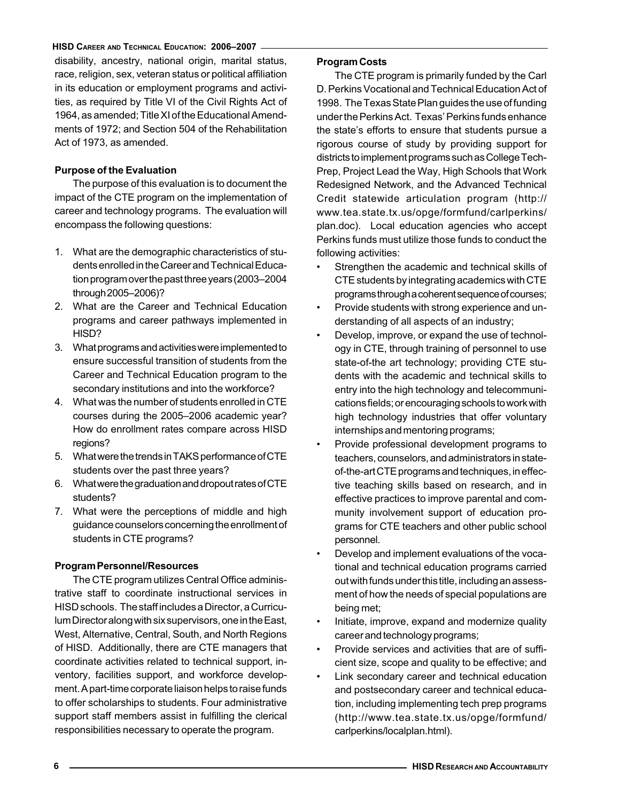disability, ancestry, national origin, marital status, race, religion, sex, veteran status or political affiliation in its education or employment programs and activities, as required by Title VI of the Civil Rights Act of 1964, as amended; Title XI of the Educational Amendments of 1972; and Section 504 of the Rehabilitation Act of 1973, as amended.

# Purpose of the Evaluation

The purpose of this evaluation is to document the impact of the CTE program on the implementation of career and technology programs. The evaluation will encompass the following questions:

- 1. What are the demographic characteristics of students enrolled in the Career and Technical Education program over the past three years (2003–2004 through 2005–2006)?
- 2. What are the Career and Technical Education programs and career pathways implemented in HISD?
- 3. What programs and activities were implemented to ensure successful transition of students from the Career and Technical Education program to the secondary institutions and into the workforce?
- 4. What was the number of students enrolled in CTE courses during the 2005–2006 academic year? How do enrollment rates compare across HISD regions?
- 5. What were the trends in TAKS performance of CTE students over the past three years?
- 6. What were the graduation and dropout rates of CTE students?
- 7. What were the perceptions of middle and high guidance counselors concerning the enrollment of students in CTE programs?

#### Program Personnel/Resources

The CTE program utilizes Central Office administrative staff to coordinate instructional services in HISD schools. The staff includes a Director, a Curriculum Director along with six supervisors, one in the East, West, Alternative, Central, South, and North Regions of HISD. Additionally, there are CTE managers that coordinate activities related to technical support, inventory, facilities support, and workforce development. A part-time corporate liaison helps to raise funds to offer scholarships to students. Four administrative support staff members assist in fulfilling the clerical responsibilities necessary to operate the program.

# Program Costs

The CTE program is primarily funded by the Carl D. Perkins Vocational and Technical Education Act of 1998. The Texas State Plan guides the use of funding under the Perkins Act. Texas' Perkins funds enhance the state's efforts to ensure that students pursue a rigorous course of study by providing support for districts to implement programs such as College Tech-Prep, Project Lead the Way, High Schools that Work Redesigned Network, and the Advanced Technical Credit statewide articulation program (http:// www.tea.state.tx.us/opge/formfund/carlperkins/ plan.doc). Local education agencies who accept Perkins funds must utilize those funds to conduct the following activities:

- Strengthen the academic and technical skills of CTE students by integrating academics with CTE programs through a coherent sequence of courses;
- Provide students with strong experience and understanding of all aspects of an industry;
- Develop, improve, or expand the use of technology in CTE, through training of personnel to use state-of-the art technology; providing CTE students with the academic and technical skills to entry into the high technology and telecommunications fields; or encouraging schools to work with high technology industries that offer voluntary internships and mentoring programs;
- Provide professional development programs to teachers, counselors, and administrators in stateof-the-art CTE programs and techniques, in effective teaching skills based on research, and in effective practices to improve parental and community involvement support of education programs for CTE teachers and other public school personnel.
- Develop and implement evaluations of the vocational and technical education programs carried out with funds under this title, including an assessment of how the needs of special populations are being met;
- Initiate, improve, expand and modernize quality career and technology programs;
- Provide services and activities that are of sufficient size, scope and quality to be effective; and
- Link secondary career and technical education and postsecondary career and technical education, including implementing tech prep programs (http://www.tea.state.tx.us/opge/formfund/ carlperkins/localplan.html).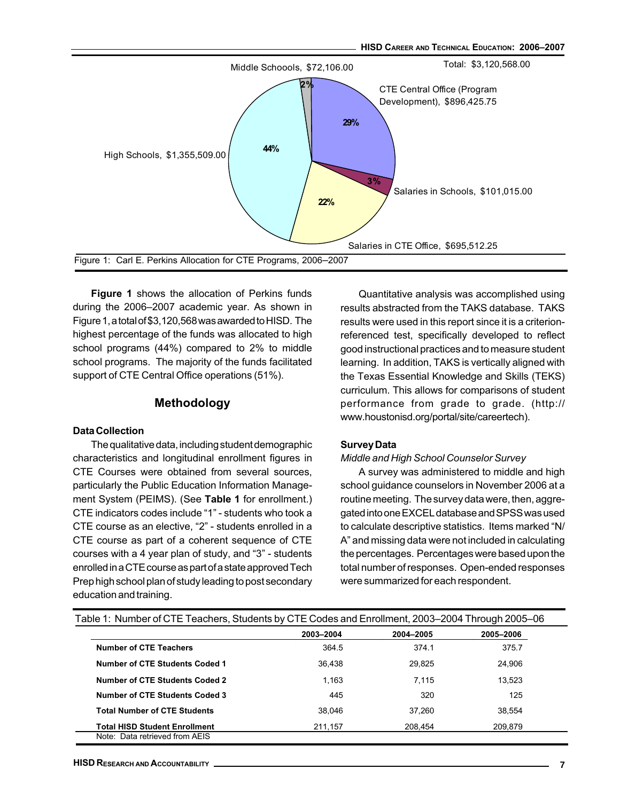

Figure 1 shows the allocation of Perkins funds during the 2006–2007 academic year. As shown in Figure 1, a total of \$3,120,568 was awarded to HISD. The highest percentage of the funds was allocated to high school programs (44%) compared to 2% to middle school programs. The majority of the funds facilitated support of CTE Central Office operations (51%).

## Methodology

#### Data Collection

The qualitative data, including student demographic characteristics and longitudinal enrollment figures in CTE Courses were obtained from several sources, particularly the Public Education Information Management System (PEIMS). (See Table 1 for enrollment.) CTE indicators codes include "1" - students who took a CTE course as an elective, "2" - students enrolled in a CTE course as part of a coherent sequence of CTE courses with a 4 year plan of study, and "3" - students enrolled in a CTE course as part of a state approved Tech Prep high school plan of study leading to post secondary education and training.

Quantitative analysis was accomplished using results abstracted from the TAKS database. TAKS results were used in this report since it is a criterionreferenced test, specifically developed to reflect good instructional practices and to measure student learning. In addition, TAKS is vertically aligned with the Texas Essential Knowledge and Skills (TEKS) curriculum. This allows for comparisons of student performance from grade to grade. (http:// www.houstonisd.org/portal/site/careertech).

#### Survey Data

#### Middle and High School Counselor Survey

A survey was administered to middle and high school guidance counselors in November 2006 at a routine meeting. The survey data were, then, aggregated into one EXCEL database and SPSS was used to calculate descriptive statistics. Items marked "N/ A" and missing data were not included in calculating the percentages. Percentages were based upon the total number of responses. Open-ended responses were summarized for each respondent.

|                                       | 2003-2004 | 2004-2005 | 2005-2006 |
|---------------------------------------|-----------|-----------|-----------|
| <b>Number of CTE Teachers</b>         | 364.5     | 374.1     | 375.7     |
| Number of CTE Students Coded 1        | 36.438    | 29.825    | 24,906    |
| Number of CTE Students Coded 2        | 1.163     | 7.115     | 13,523    |
| <b>Number of CTE Students Coded 3</b> | 445       | 320       | 125       |
| <b>Total Number of CTE Students</b>   | 38.046    | 37.260    | 38.554    |
| <b>Total HISD Student Enrollment</b>  | 211,157   | 208.454   | 209.879   |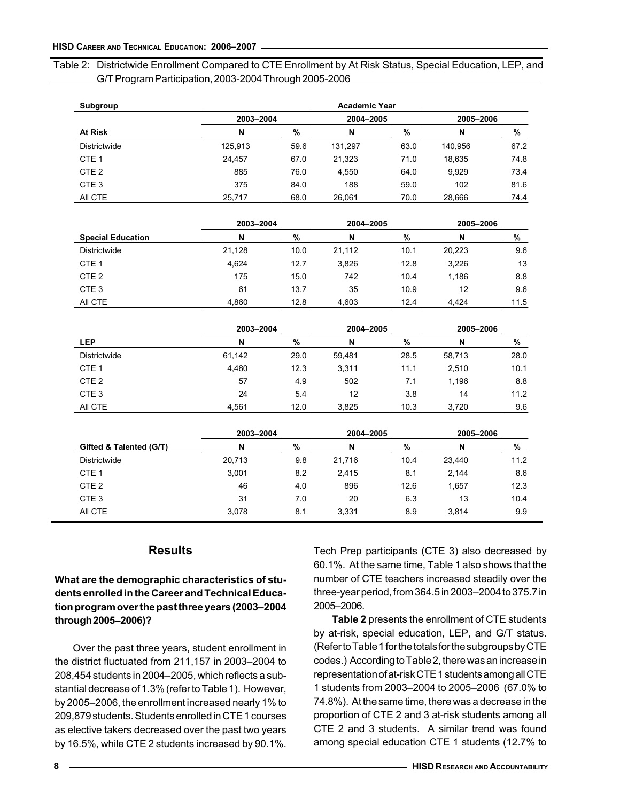# Table 2: Districtwide Enrollment Compared to CTE Enrollment by At Risk Status, Special Education, LEP, and G/T Program Participation, 2003-2004 Through 2005-2006

| Subgroup         |           |      | <b>Academic Year</b> |      |           |      |
|------------------|-----------|------|----------------------|------|-----------|------|
|                  | 2003-2004 |      | 2004-2005            |      | 2005-2006 |      |
| At Risk          | N         | %    | N                    | %    | N         | %    |
| Districtwide     | 125,913   | 59.6 | 131,297              | 63.0 | 140.956   | 67.2 |
| CTE <sub>1</sub> | 24,457    | 67.0 | 21,323               | 71.0 | 18,635    | 74.8 |
| CTE <sub>2</sub> | 885       | 76.0 | 4,550                | 64.0 | 9,929     | 73.4 |
| CTE <sub>3</sub> | 375       | 84.0 | 188                  | 59.0 | 102       | 81.6 |
| AII CTE          | 25,717    | 68.0 | 26.061               | 70.0 | 28.666    | 74.4 |

|                          | 2003-2004 |      | 2004-2005 |      | 2005-2006 |      |
|--------------------------|-----------|------|-----------|------|-----------|------|
| <b>Special Education</b> | N         | %    | N         | %    | N         | %    |
| Districtwide             | 21,128    | 10.0 | 21.112    | 10.1 | 20.223    | 9.6  |
| CTE <sub>1</sub>         | 4.624     | 12.7 | 3,826     | 12.8 | 3,226     | 13   |
| CTE <sub>2</sub>         | 175       | 15.0 | 742       | 10.4 | 1.186     | 8.8  |
| CTE <sub>3</sub>         | 61        | 13.7 | 35        | 10.9 | 12        | 9.6  |
| AII CTE                  | 4.860     | 12.8 | 4.603     | 12.4 | 4.424     | 11.5 |

|                     | 2003-2004 |      | 2004-2005 |      | 2005-2006 |      |
|---------------------|-----------|------|-----------|------|-----------|------|
| <b>LEP</b>          | N         | %    | N         | %    | N         | %    |
| <b>Districtwide</b> | 61,142    | 29.0 | 59.481    | 28.5 | 58,713    | 28.0 |
| CTE <sub>1</sub>    | 4,480     | 12.3 | 3,311     | 11.1 | 2,510     | 10.1 |
| CTE <sub>2</sub>    | 57        | 4.9  | 502       | 7.1  | 1,196     | 8.8  |
| CTE <sub>3</sub>    | 24        | 5.4  | 12        | 3.8  | 14        | 11.2 |
| AII CTE             | 4.561     | 12.0 | 3,825     | 10.3 | 3,720     | 9.6  |

|                         | 2003-2004 |     | 2004-2005 |      | 2005-2006 |      |
|-------------------------|-----------|-----|-----------|------|-----------|------|
| Gifted & Talented (G/T) | N         | %   | N         | %    | N         | %    |
| Districtwide            | 20,713    | 9.8 | 21,716    | 10.4 | 23,440    | 11.2 |
| CTE <sub>1</sub>        | 3,001     | 8.2 | 2.415     | 8.1  | 2.144     | 8.6  |
| CTE <sub>2</sub>        | 46        | 4.0 | 896       | 12.6 | 1.657     | 12.3 |
| CTE <sub>3</sub>        | 31        | 7.0 | 20        | 6.3  | 13        | 10.4 |
| AII CTE                 | 3.078     | 8.1 | 3,331     | 8.9  | 3.814     | 9.9  |

# **Results**

# What are the demographic characteristics of students enrolled in the Career and Technical Education program over the past three years (2003–2004 through 2005–2006)?

Over the past three years, student enrollment in the district fluctuated from 211,157 in 2003–2004 to 208,454 students in 2004–2005, which reflects a substantial decrease of 1.3% (refer to Table 1). However, by 2005–2006, the enrollment increased nearly 1% to 209,879 students. Students enrolled in CTE 1 courses as elective takers decreased over the past two years by 16.5%, while CTE 2 students increased by 90.1%.

Tech Prep participants (CTE 3) also decreased by 60.1%. At the same time, Table 1 also shows that the number of CTE teachers increased steadily over the three-year period, from 364.5 in 2003–2004 to 375.7 in 2005–2006.

Table 2 presents the enrollment of CTE students by at-risk, special education, LEP, and G/T status. (Refer to Table 1 for the totals for the subgroups by CTE codes.) According to Table 2, there was an increase in representation of at-risk CTE 1 students among all CTE 1 students from 2003–2004 to 2005–2006 (67.0% to 74.8%). At the same time, there was a decrease in the proportion of CTE 2 and 3 at-risk students among all CTE 2 and 3 students. A similar trend was found among special education CTE 1 students (12.7% to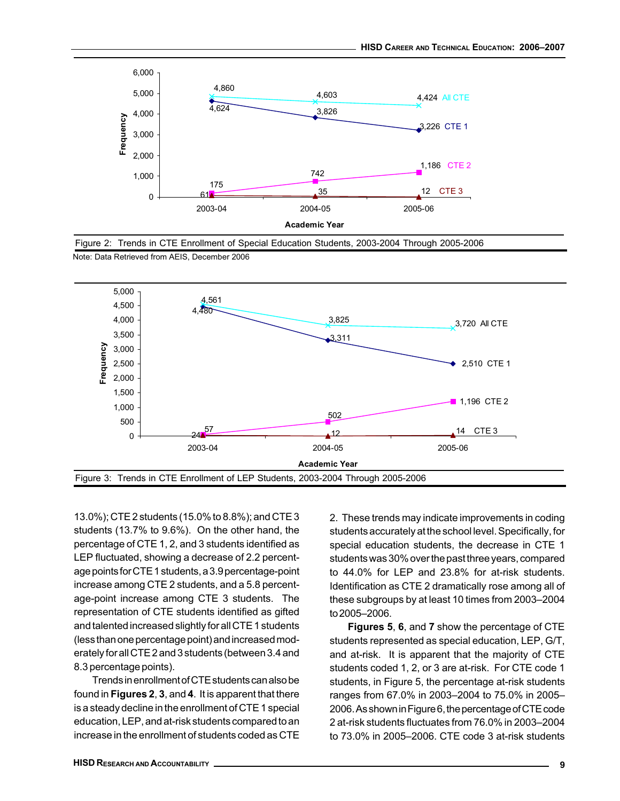

Figure 2: Trends in CTE Enrollment of Special Education Students, 2003-2004 Through 2005-2006





13.0%); CTE 2 students (15.0% to 8.8%); and CTE 3 students (13.7% to 9.6%). On the other hand, the percentage of CTE 1, 2, and 3 students identified as LEP fluctuated, showing a decrease of 2.2 percentage points for CTE 1 students, a 3.9 percentage-point increase among CTE 2 students, and a 5.8 percentage-point increase among CTE 3 students. The representation of CTE students identified as gifted and talented increased slightly for all CTE 1 students (less than one percentage point) and increased moderately for all CTE 2 and 3 students (between 3.4 and 8.3 percentage points).

Trends in enrollment of CTE students can also be found in Figures 2, 3, and 4. It is apparent that there is a steady decline in the enrollment of CTE 1 special education, LEP, and at-risk students compared to an increase in the enrollment of students coded as CTE

2. These trends may indicate improvements in coding students accurately at the school level. Specifically, for special education students, the decrease in CTE 1 students was 30% over the past three years, compared to 44.0% for LEP and 23.8% for at-risk students. Identification as CTE 2 dramatically rose among all of these subgroups by at least 10 times from 2003–2004 to 2005–2006.

Figures 5, 6, and 7 show the percentage of CTE students represented as special education, LEP, G/T, and at-risk. It is apparent that the majority of CTE students coded 1, 2, or 3 are at-risk. For CTE code 1 students, in Figure 5, the percentage at-risk students ranges from 67.0% in 2003–2004 to 75.0% in 2005– 2006. As shown in Figure 6, the percentage of CTE code 2 at-risk students fluctuates from 76.0% in 2003–2004 to 73.0% in 2005–2006. CTE code 3 at-risk students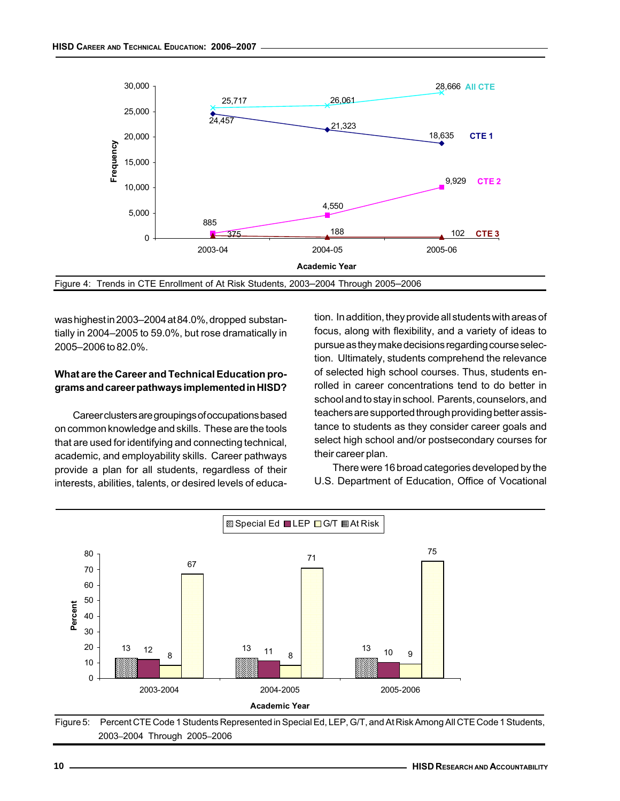

was highest in 2003–2004 at 84.0%, dropped substantially in 2004–2005 to 59.0%, but rose dramatically in 2005–2006 to 82.0%.

# What are the Career and Technical Education programs and career pathways implemented in HISD?

Career clusters are groupings of occupations based on common knowledge and skills. These are the tools that are used for identifying and connecting technical, academic, and employability skills. Career pathways provide a plan for all students, regardless of their interests, abilities, talents, or desired levels of education. In addition, they provide all students with areas of focus, along with flexibility, and a variety of ideas to pursue as they make decisions regarding course selection. Ultimately, students comprehend the relevance of selected high school courses. Thus, students enrolled in career concentrations tend to do better in school and to stay in school. Parents, counselors, and teachers are supported through providing better assistance to students as they consider career goals and select high school and/or postsecondary courses for their career plan.

There were 16 broad categories developed by the U.S. Department of Education, Office of Vocational



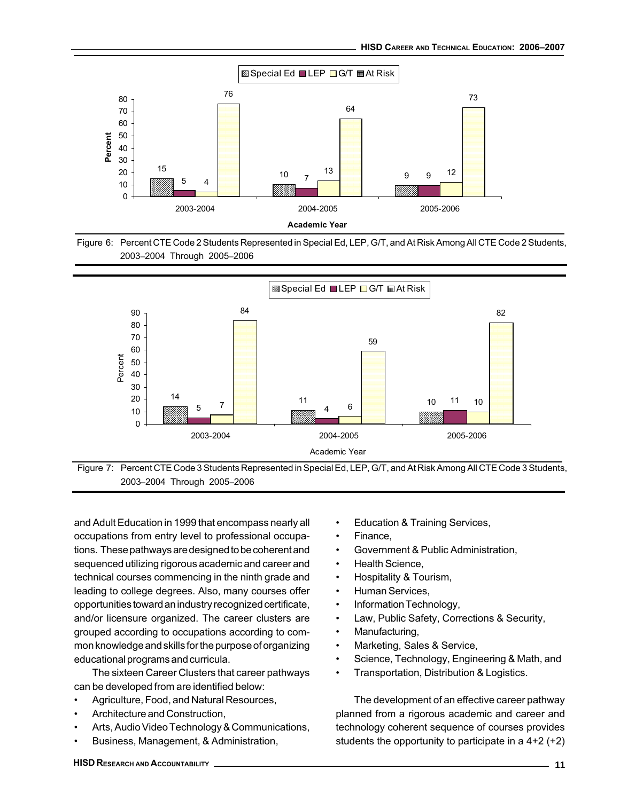





Figure 7: Percent CTE Code 3 Students Represented in Special Ed, LEP, G/T, and At Risk Among All CTE Code 3 Students, 2003–2004 Through 2005–2006

and Adult Education in 1999 that encompass nearly all occupations from entry level to professional occupations. These pathways are designed to be coherent and sequenced utilizing rigorous academic and career and technical courses commencing in the ninth grade and leading to college degrees. Also, many courses offer opportunities toward an industry recognized certificate, and/or licensure organized. The career clusters are grouped according to occupations according to common knowledge and skills for the purpose of organizing educational programs and curricula.

The sixteen Career Clusters that career pathways can be developed from are identified below:

- Agriculture, Food, and Natural Resources,
- Architecture and Construction,
- Arts, Audio Video Technology & Communications,
- Business, Management, & Administration,
- Education & Training Services,
- Finance,
- Government & Public Administration,
- Health Science,
- Hospitality & Tourism,
- Human Services,
- Information Technology,
- Law, Public Safety, Corrections & Security,
- Manufacturing,
- Marketing, Sales & Service,
- Science, Technology, Engineering & Math, and
- Transportation, Distribution & Logistics.

The development of an effective career pathway planned from a rigorous academic and career and technology coherent sequence of courses provides students the opportunity to participate in a 4+2 (+2)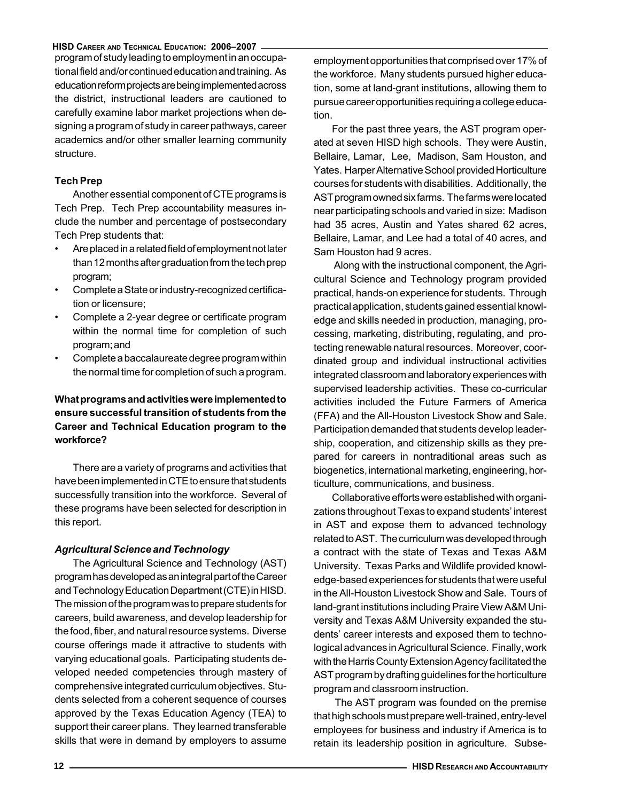program of study leading to employment in an occupational field and/or continued education and training. As education reform projects are being implemented across the district, instructional leaders are cautioned to carefully examine labor market projections when designing a program of study in career pathways, career academics and/or other smaller learning community structure.

# Tech Prep

Another essential component of CTE programs is Tech Prep. Tech Prep accountability measures include the number and percentage of postsecondary Tech Prep students that:

- Are placed in a related field of employment not later than 12 months after graduation from the tech prep program;
- Complete a State or industry-recognized certification or licensure;
- Complete a 2-year degree or certificate program within the normal time for completion of such program; and
- Complete a baccalaureate degree program within the normal time for completion of such a program.

# What programs and activities were implemented to ensure successful transition of students from the Career and Technical Education program to the workforce?

There are a variety of programs and activities that have been implemented in CTE to ensure that students successfully transition into the workforce. Several of these programs have been selected for description in this report.

# Agricultural Science and Technology

The Agricultural Science and Technology (AST) program has developed as an integral part of the Career and Technology Education Department (CTE) in HISD. The mission of the program was to prepare students for careers, build awareness, and develop leadership for the food, fiber, and natural resource systems. Diverse course offerings made it attractive to students with varying educational goals. Participating students developed needed competencies through mastery of comprehensive integrated curriculum objectives. Students selected from a coherent sequence of courses approved by the Texas Education Agency (TEA) to support their career plans. They learned transferable skills that were in demand by employers to assume

employment opportunities that comprised over 17% of the workforce. Many students pursued higher education, some at land-grant institutions, allowing them to pursue career opportunities requiring a college education.

For the past three years, the AST program operated at seven HISD high schools. They were Austin, Bellaire, Lamar, Lee, Madison, Sam Houston, and Yates. Harper Alternative School provided Horticulture courses for students with disabilities. Additionally, the AST program owned six farms. The farms were located near participating schools and varied in size: Madison had 35 acres, Austin and Yates shared 62 acres, Bellaire, Lamar, and Lee had a total of 40 acres, and Sam Houston had 9 acres.

 Along with the instructional component, the Agricultural Science and Technology program provided practical, hands-on experience for students. Through practical application, students gained essential knowledge and skills needed in production, managing, processing, marketing, distributing, regulating, and protecting renewable natural resources. Moreover, coordinated group and individual instructional activities integrated classroom and laboratory experiences with supervised leadership activities. These co-curricular activities included the Future Farmers of America (FFA) and the All-Houston Livestock Show and Sale. Participation demanded that students develop leadership, cooperation, and citizenship skills as they prepared for careers in nontraditional areas such as biogenetics, international marketing, engineering, horticulture, communications, and business.

Collaborative efforts were established with organizations throughout Texas to expand students' interest in AST and expose them to advanced technology related to AST. The curriculum was developed through a contract with the state of Texas and Texas A&M University. Texas Parks and Wildlife provided knowledge-based experiences for students that were useful in the All-Houston Livestock Show and Sale. Tours of land-grant institutions including Praire View A&M University and Texas A&M University expanded the students' career interests and exposed them to technological advances in Agricultural Science. Finally, work with the Harris County Extension Agency facilitated the AST program by drafting guidelines for the horticulture program and classroom instruction.

 The AST program was founded on the premise that high schools must prepare well-trained, entry-level employees for business and industry if America is to retain its leadership position in agriculture. Subse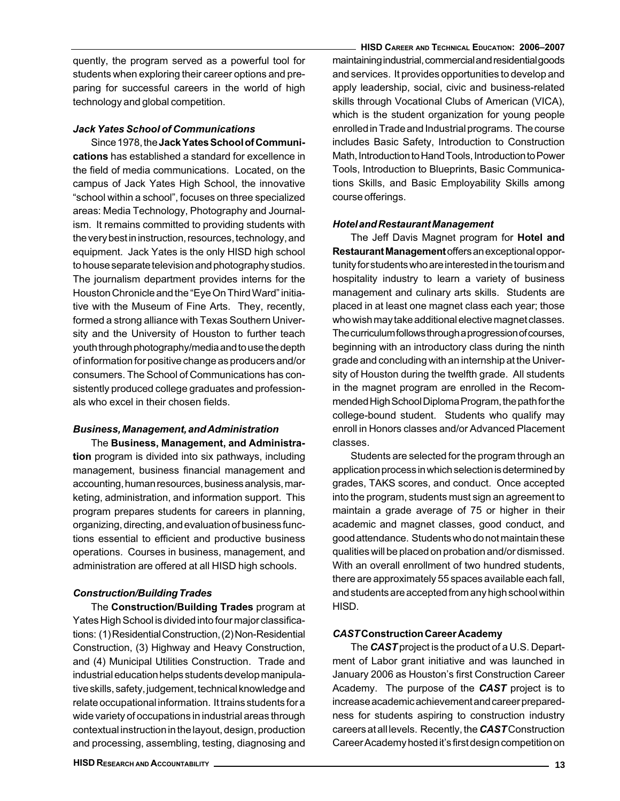quently, the program served as a powerful tool for students when exploring their career options and preparing for successful careers in the world of high technology and global competition.

# Jack Yates School of Communications

Since 1978, the Jack Yates School of Communications has established a standard for excellence in the field of media communications. Located, on the campus of Jack Yates High School, the innovative "school within a school", focuses on three specialized areas: Media Technology, Photography and Journalism. It remains committed to providing students with the very best in instruction, resources, technology, and equipment. Jack Yates is the only HISD high school to house separate television and photography studios. The journalism department provides interns for the Houston Chronicle and the "Eye On Third Ward" initiative with the Museum of Fine Arts. They, recently, formed a strong alliance with Texas Southern University and the University of Houston to further teach youth through photography/media and to use the depth of information for positive change as producers and/or consumers. The School of Communications has consistently produced college graduates and professionals who excel in their chosen fields.

# Business, Management, and Administration

The Business, Management, and Administration program is divided into six pathways, including management, business financial management and accounting, human resources, business analysis, marketing, administration, and information support. This program prepares students for careers in planning, organizing, directing, and evaluation of business functions essential to efficient and productive business operations. Courses in business, management, and administration are offered at all HISD high schools.

# Construction/Building Trades

The Construction/Building Trades program at Yates High School is divided into four major classifications: (1) Residential Construction, (2) Non-Residential Construction, (3) Highway and Heavy Construction, and (4) Municipal Utilities Construction. Trade and industrial education helps students develop manipulative skills, safety, judgement, technical knowledge and relate occupational information. It trains students for a wide variety of occupations in industrial areas through contextual instruction in the layout, design, production and processing, assembling, testing, diagnosing and

HISD CAREER AND TECHNICAL EDUCATION: 2006–2007 maintaining industrial, commercial and residential goods and services. It provides opportunities to develop and apply leadership, social, civic and business-related skills through Vocational Clubs of American (VICA), which is the student organization for young people enrolled in Trade and Industrial programs. The course includes Basic Safety, Introduction to Construction Math, Introduction to Hand Tools, Introduction to Power Tools, Introduction to Blueprints, Basic Communications Skills, and Basic Employability Skills among course offerings.

# Hotel and Restaurant Management

The Jeff Davis Magnet program for **Hotel and** Restaurant Management offers an exceptional opportunity for students who are interested in the tourism and hospitality industry to learn a variety of business management and culinary arts skills. Students are placed in at least one magnet class each year; those who wish may take additional elective magnet classes. The curriculum follows through a progression of courses, beginning with an introductory class during the ninth grade and concluding with an internship at the University of Houston during the twelfth grade. All students in the magnet program are enrolled in the Recommended High School Diploma Program, the path for the college-bound student. Students who qualify may enroll in Honors classes and/or Advanced Placement classes.

Students are selected for the program through an application process in which selection is determined by grades, TAKS scores, and conduct. Once accepted into the program, students must sign an agreement to maintain a grade average of 75 or higher in their academic and magnet classes, good conduct, and good attendance. Students who do not maintain these qualities will be placed on probation and/or dismissed. With an overall enrollment of two hundred students, there are approximately 55 spaces available each fall, and students are accepted from any high school within HISD.

# CAST Construction Career Academy

The **CAST** project is the product of a U.S. Department of Labor grant initiative and was launched in January 2006 as Houston's first Construction Career Academy. The purpose of the **CAST** project is to increase academic achievement and career preparedness for students aspiring to construction industry careers at all levels. Recently, the CAST Construction Career Academy hosted it's first design competition on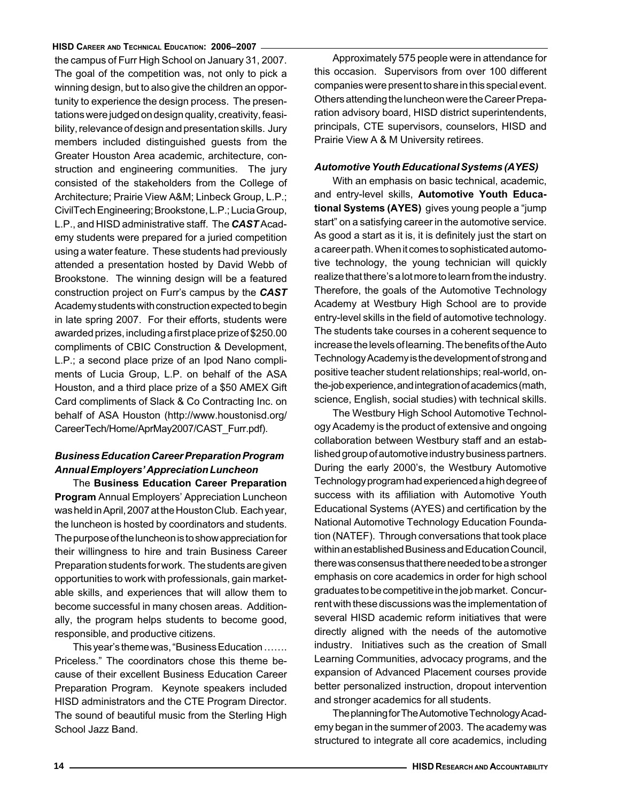the campus of Furr High School on January 31, 2007. The goal of the competition was, not only to pick a winning design, but to also give the children an opportunity to experience the design process. The presentations were judged on design quality, creativity, feasibility, relevance of design and presentation skills. Jury members included distinguished guests from the Greater Houston Area academic, architecture, construction and engineering communities. The jury consisted of the stakeholders from the College of Architecture; Prairie View A&M; Linbeck Group, L.P.; CivilTech Engineering; Brookstone, L.P.; Lucia Group, L.P., and HISD administrative staff. The CAST Academy students were prepared for a juried competition using a water feature. These students had previously attended a presentation hosted by David Webb of Brookstone. The winning design will be a featured construction project on Furr's campus by the CAST Academy students with construction expected to begin in late spring 2007. For their efforts, students were awarded prizes, including a first place prize of \$250.00 compliments of CBIC Construction & Development, L.P.; a second place prize of an Ipod Nano compliments of Lucia Group, L.P. on behalf of the ASA Houston, and a third place prize of a \$50 AMEX Gift Card compliments of Slack & Co Contracting Inc. on behalf of ASA Houston (http://www.houstonisd.org/ CareerTech/Home/AprMay2007/CAST\_Furr.pdf).

# Business Education Career Preparation Program Annual Employers' Appreciation Luncheon

The Business Education Career Preparation Program Annual Employers' Appreciation Luncheon was held in April, 2007 at the Houston Club. Each year, the luncheon is hosted by coordinators and students. The purpose of the luncheon is to show appreciation for their willingness to hire and train Business Career Preparation students for work. The students are given opportunities to work with professionals, gain marketable skills, and experiences that will allow them to become successful in many chosen areas. Additionally, the program helps students to become good, responsible, and productive citizens.

This year's theme was, "Business Education ……. Priceless." The coordinators chose this theme because of their excellent Business Education Career Preparation Program. Keynote speakers included HISD administrators and the CTE Program Director. The sound of beautiful music from the Sterling High School Jazz Band.

Approximately 575 people were in attendance for this occasion. Supervisors from over 100 different companies were present to share in this special event. Others attending the luncheon were the Career Preparation advisory board, HISD district superintendents, principals, CTE supervisors, counselors, HISD and Prairie View A & M University retirees.

#### Automotive Youth Educational Systems (AYES)

With an emphasis on basic technical, academic, and entry-level skills, Automotive Youth Educational Systems (AYES) gives young people a "jump start" on a satisfying career in the automotive service. As good a start as it is, it is definitely just the start on a career path. When it comes to sophisticated automotive technology, the young technician will quickly realize that there's a lot more to learn from the industry. Therefore, the goals of the Automotive Technology Academy at Westbury High School are to provide entry-level skills in the field of automotive technology. The students take courses in a coherent sequence to increase the levels of learning. The benefits of the Auto Technology Academy is the development of strong and positive teacher student relationships; real-world, onthe-job experience, and integration of academics (math, science, English, social studies) with technical skills.

The Westbury High School Automotive Technology Academy is the product of extensive and ongoing collaboration between Westbury staff and an established group of automotive industry business partners. During the early 2000's, the Westbury Automotive Technology program had experienced a high degree of success with its affiliation with Automotive Youth Educational Systems (AYES) and certification by the National Automotive Technology Education Foundation (NATEF). Through conversations that took place within an established Business and Education Council, there was consensus that there needed to be a stronger emphasis on core academics in order for high school graduates to be competitive in the job market. Concurrent with these discussions was the implementation of several HISD academic reform initiatives that were directly aligned with the needs of the automotive industry. Initiatives such as the creation of Small Learning Communities, advocacy programs, and the expansion of Advanced Placement courses provide better personalized instruction, dropout intervention and stronger academics for all students.

The planning for The Automotive Technology Academy began in the summer of 2003. The academy was structured to integrate all core academics, including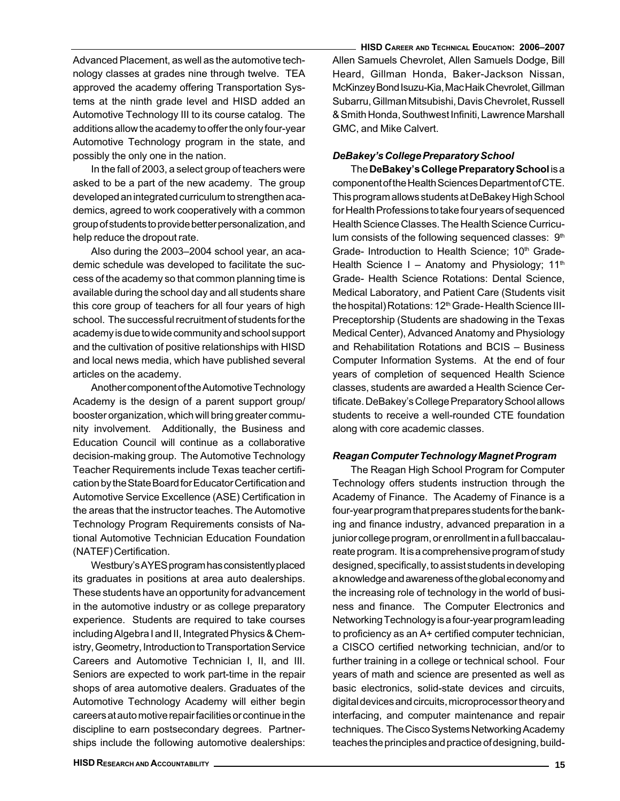Advanced Placement, as well as the automotive technology classes at grades nine through twelve. TEA approved the academy offering Transportation Systems at the ninth grade level and HISD added an Automotive Technology III to its course catalog. The additions allow the academy to offer the only four-year Automotive Technology program in the state, and possibly the only one in the nation.

In the fall of 2003, a select group of teachers were asked to be a part of the new academy. The group developed an integrated curriculum to strengthen academics, agreed to work cooperatively with a common group of students to provide better personalization, and help reduce the dropout rate.

Also during the 2003–2004 school year, an academic schedule was developed to facilitate the success of the academy so that common planning time is available during the school day and all students share this core group of teachers for all four years of high school. The successful recruitment of students for the academy is due to wide community and school support and the cultivation of positive relationships with HISD and local news media, which have published several articles on the academy.

Another component of the Automotive Technology Academy is the design of a parent support group/ booster organization, which will bring greater community involvement. Additionally, the Business and Education Council will continue as a collaborative decision-making group. The Automotive Technology Teacher Requirements include Texas teacher certification by the State Board for Educator Certification and Automotive Service Excellence (ASE) Certification in the areas that the instructor teaches. The Automotive Technology Program Requirements consists of National Automotive Technician Education Foundation (NATEF) Certification.

Westbury's AYES program has consistently placed its graduates in positions at area auto dealerships. These students have an opportunity for advancement in the automotive industry or as college preparatory experience. Students are required to take courses including Algebra I and II, Integrated Physics & Chemistry, Geometry, Introduction to Transportation Service Careers and Automotive Technician I, II, and III. Seniors are expected to work part-time in the repair shops of area automotive dealers. Graduates of the Automotive Technology Academy will either begin careers at auto motive repair facilities or continue in the discipline to earn postsecondary degrees. Partnerships include the following automotive dealerships:

HISD CAREER AND TECHNICAL EDUCATION: 2006–2007 Allen Samuels Chevrolet, Allen Samuels Dodge, Bill Heard, Gillman Honda, Baker-Jackson Nissan, McKinzey Bond Isuzu-Kia, Mac Haik Chevrolet, Gillman Subarru, Gillman Mitsubishi, Davis Chevrolet, Russell & Smith Honda, Southwest Infiniti, Lawrence Marshall GMC, and Mike Calvert.

# DeBakey's College Preparatory School

The DeBakey's College Preparatory School is a component of the Health Sciences Department of CTE. This program allows students at DeBakey High School for Health Professions to take four years of sequenced Health Science Classes. The Health Science Curriculum consists of the following sequenced classes:  $9<sup>th</sup>$ Grade- Introduction to Health Science; 10<sup>th</sup> Grade-Health Science I – Anatomy and Physiology;  $11<sup>th</sup>$ Grade- Health Science Rotations: Dental Science, Medical Laboratory, and Patient Care (Students visit the hospital) Rotations: 12<sup>th</sup> Grade- Health Science III-Preceptorship (Students are shadowing in the Texas Medical Center), Advanced Anatomy and Physiology and Rehabilitation Rotations and BCIS – Business Computer Information Systems. At the end of four years of completion of sequenced Health Science classes, students are awarded a Health Science Certificate. DeBakey's College Preparatory School allows students to receive a well-rounded CTE foundation along with core academic classes.

# Reagan Computer Technology Magnet Program

The Reagan High School Program for Computer Technology offers students instruction through the Academy of Finance. The Academy of Finance is a four-year program that prepares students for the banking and finance industry, advanced preparation in a junior college program, or enrollment in a full baccalaureate program. It is a comprehensive program of study designed, specifically, to assist students in developing a knowledge and awareness of the global economy and the increasing role of technology in the world of business and finance. The Computer Electronics and Networking Technology is a four-year program leading to proficiency as an A+ certified computer technician, a CISCO certified networking technician, and/or to further training in a college or technical school. Four years of math and science are presented as well as basic electronics, solid-state devices and circuits, digital devices and circuits, microprocessor theory and interfacing, and computer maintenance and repair techniques. The Cisco Systems Networking Academy teaches the principles and practice of designing, build-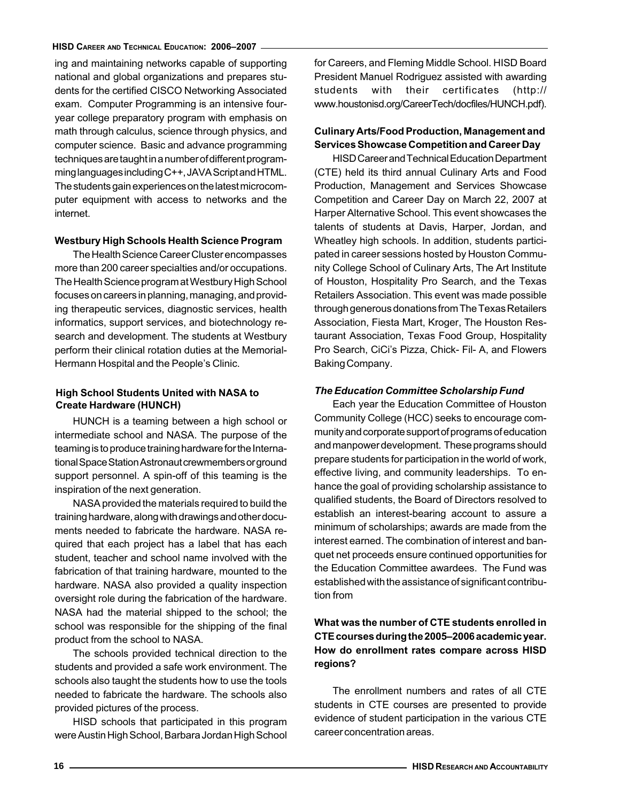ing and maintaining networks capable of supporting national and global organizations and prepares students for the certified CISCO Networking Associated exam. Computer Programming is an intensive fouryear college preparatory program with emphasis on math through calculus, science through physics, and computer science. Basic and advance programming techniques are taught in a number of different programming languages including C++, JAVA Script and HTML. The students gain experiences on the latest microcomputer equipment with access to networks and the internet.

#### Westbury High Schools Health Science Program

The Health Science Career Cluster encompasses more than 200 career specialties and/or occupations. The Health Science program at Westbury High School focuses on careers in planning, managing, and providing therapeutic services, diagnostic services, health informatics, support services, and biotechnology research and development. The students at Westbury perform their clinical rotation duties at the Memorial-Hermann Hospital and the People's Clinic.

#### **High School Students United with NASA to Create Hardware (HUNCH)**

HUNCH is a teaming between a high school or intermediate school and NASA. The purpose of the teaming is to produce training hardware for the International Space Station Astronaut crewmembers or ground support personnel. A spin-off of this teaming is the inspiration of the next generation.

NASA provided the materials required to build the training hardware, along with drawings and other documents needed to fabricate the hardware. NASA required that each project has a label that has each student, teacher and school name involved with the fabrication of that training hardware, mounted to the hardware. NASA also provided a quality inspection oversight role during the fabrication of the hardware. NASA had the material shipped to the school; the school was responsible for the shipping of the final product from the school to NASA.

The schools provided technical direction to the students and provided a safe work environment. The schools also taught the students how to use the tools needed to fabricate the hardware. The schools also provided pictures of the process.

HISD schools that participated in this program were Austin High School, Barbara Jordan High School for Careers, and Fleming Middle School. HISD Board President Manuel Rodriguez assisted with awarding students with their certificates (http:// www.houstonisd.org/CareerTech/docfiles/HUNCH.pdf).

# Culinary Arts/Food Production, Management and Services Showcase Competition and Career Day

HISD Career and Technical Education Department (CTE) held its third annual Culinary Arts and Food Production, Management and Services Showcase Competition and Career Day on March 22, 2007 at Harper Alternative School. This event showcases the talents of students at Davis, Harper, Jordan, and Wheatley high schools. In addition, students participated in career sessions hosted by Houston Community College School of Culinary Arts, The Art Institute of Houston, Hospitality Pro Search, and the Texas Retailers Association. This event was made possible through generous donations from The Texas Retailers Association, Fiesta Mart, Kroger, The Houston Restaurant Association, Texas Food Group, Hospitality Pro Search, CiCi's Pizza, Chick- Fil- A, and Flowers Baking Company.

#### The Education Committee Scholarship Fund

Each year the Education Committee of Houston Community College (HCC) seeks to encourage community and corporate support of programs of education and manpower development. These programs should prepare students for participation in the world of work, effective living, and community leaderships. To enhance the goal of providing scholarship assistance to qualified students, the Board of Directors resolved to establish an interest-bearing account to assure a minimum of scholarships; awards are made from the interest earned. The combination of interest and banquet net proceeds ensure continued opportunities for the Education Committee awardees. The Fund was established with the assistance of significant contribution from

# What was the number of CTE students enrolled in CTE courses during the 2005–2006 academic year. How do enrollment rates compare across HISD regions?

The enrollment numbers and rates of all CTE students in CTE courses are presented to provide evidence of student participation in the various CTE career concentration areas.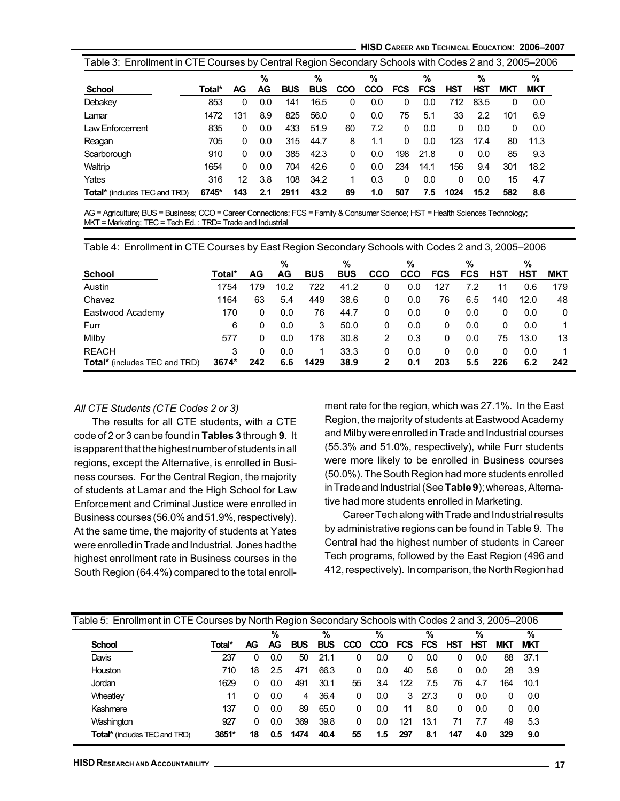HISD CAREER AND TECHNICAL EDUCATION: 2006–2007

| Table 3: Enrollment in CTE Courses by Central Region Secondary Schools with Codes 2 and 3, 2005–2006 |        |          |         |            |                 |     |          |            |                 |      |                 |            |                 |  |
|------------------------------------------------------------------------------------------------------|--------|----------|---------|------------|-----------------|-----|----------|------------|-----------------|------|-----------------|------------|-----------------|--|
| School                                                                                               | Total* | AG       | %<br>AG | <b>BUS</b> | %<br><b>BUS</b> | CCO | %<br>CCO | <b>FCS</b> | %<br><b>FCS</b> | HST  | %<br><b>HST</b> | <b>MKT</b> | %<br><b>MKT</b> |  |
|                                                                                                      |        |          |         |            |                 |     |          |            |                 |      |                 |            |                 |  |
| Debakey                                                                                              | 853    | 0        | 0.0     | 141        | 16.5            | 0   | 0.0      | 0          | 0.0             | 712  | 83.5            | 0          | 0.0             |  |
| Lamar                                                                                                | 1472   | 131      | 8.9     | 825        | 56.0            | 0   | 0.0      | 75         | 5.1             | 33   | 2.2             | 101        | 6.9             |  |
| Law Enforcement                                                                                      | 835    | $\Omega$ | 0.0     | 433        | 51.9            | 60  | 7.2      | 0          | 0.0             | 0    | 0.0             | 0          | 0.0             |  |
| Reagan                                                                                               | 705    | 0        | 0.0     | 315        | 44.7            | 8   | 1.1      | 0          | 0.0             | 123  | 17.4            | 80         | 11.3            |  |
| Scarborough                                                                                          | 910    | 0        | 0.0     | 385        | 42.3            | 0   | 0.0      | 198        | 21.8            | 0    | 0.0             | 85         | 9.3             |  |
| Waltrip                                                                                              | 1654   | $\Omega$ | 0.0     | 704        | 42.6            | 0   | 0.0      | 234        | 14.1            | 156  | 9.4             | 301        | 18.2            |  |
| Yates                                                                                                | 316    | 12       | 3.8     | 108        | 34.2            |     | 0.3      | 0          | 0.0             | 0    | 0.0             | 15         | 4.7             |  |
| <b>Total*</b> (includes TEC and TRD)                                                                 | 6745*  | 143      | 2.1     | 2911       | 43.2            | 69  | 1.0      | 507        | 7.5             | 1024 | 15.2            | 582        | 8.6             |  |

AG = Agriculture; BUS = Business; CCO = Career Connections; FCS = Family & Consumer Science; HST = Health Sciences Technology; MKT = Marketing; TEC = Tech Ed. ; TRD= Trade and Industrial

| Table 4: Enrollment in CTE Courses by East Region Secondary Schools with Codes 2 and 3, 2005–2006 |        |     |               |            |            |     |     |            |            |     |      |     |
|---------------------------------------------------------------------------------------------------|--------|-----|---------------|------------|------------|-----|-----|------------|------------|-----|------|-----|
|                                                                                                   |        |     | $\frac{0}{0}$ |            | $\%$       |     | %   |            | %          |     | %    |     |
| <b>School</b>                                                                                     | Total* | AG  | AG            | <b>BUS</b> | <b>BUS</b> | CCO | CCO | <b>FCS</b> | <b>FCS</b> | HST | HST  | MKT |
| Austin                                                                                            | 1754   | 179 | 10.2          | 722        | 41.2       | 0   | 0.0 | 127        | 7.2        | 11  | 0.6  | 179 |
| Chavez                                                                                            | 1164   | 63  | 5.4           | 449        | 38.6       | 0   | 0.0 | 76         | 6.5        | 140 | 12.0 | 48  |
| Eastwood Academy                                                                                  | 170    | 0   | 0.0           | 76         | 44.7       | 0   | 0.0 | 0          | 0.0        | 0   | 0.0  | 0   |
| Furr                                                                                              | 6      | 0   | 0.0           | 3          | 50.0       | 0   | 0.0 | 0          | 0.0        | 0   | 0.0  |     |
| Milby                                                                                             | 577    | 0   | 0.0           | 178        | 30.8       | 2   | 0.3 | 0          | 0.0        | 75  | 13.0 | 13  |
| <b>REACH</b>                                                                                      | 3      |     | 0.0           |            | 33.3       | 0   | 0.0 | 0          | 0.0        | 0   | 0.0  |     |
| <b>Total*</b> (includes TEC and TRD)                                                              | 3674*  | 242 | 6.6           | 1429       | 38.9       | 2   | 0.1 | 203        | 5.5        | 226 | 6.2  | 242 |

#### All CTE Students (CTE Codes 2 or 3)

The results for all CTE students, with a CTE code of 2 or 3 can be found in Tables 3 through 9. It is apparent that the highest number of students in all regions, except the Alternative, is enrolled in Business courses. For the Central Region, the majority of students at Lamar and the High School for Law Enforcement and Criminal Justice were enrolled in Business courses (56.0% and 51.9%, respectively). At the same time, the majority of students at Yates were enrolled in Trade and Industrial. Jones had the highest enrollment rate in Business courses in the South Region (64.4%) compared to the total enrollment rate for the region, which was 27.1%. In the East Region, the majority of students at Eastwood Academy and Milby were enrolled in Trade and Industrial courses (55.3% and 51.0%, respectively), while Furr students were more likely to be enrolled in Business courses (50.0%). The South Region had more students enrolled in Trade and Industrial (See Table 9); whereas, Alternative had more students enrolled in Marketing.

Career Tech along with Trade and Industrial results by administrative regions can be found in Table 9. The Central had the highest number of students in Career Tech programs, followed by the East Region (496 and 412, respectively). In comparison, the North Region had

| Table 5: Enrollment in CTE Courses by North Region Secondary Schools with Codes 2 and 3, 2005–2006 |        |     |     |            |            |     |               |              |      |            |     |            |            |
|----------------------------------------------------------------------------------------------------|--------|-----|-----|------------|------------|-----|---------------|--------------|------|------------|-----|------------|------------|
|                                                                                                    |        |     | %   |            | %          |     | %             |              | %    |            | %   |            | %          |
| <b>School</b>                                                                                      | Total* | AG. | AG  | <b>BUS</b> | <b>BUS</b> | CCO | <b>CCO</b>    | FCS          | FCS  | <b>HST</b> | HST | <b>MKT</b> | <b>MKT</b> |
| Davis                                                                                              | 237    | 0   | 0.0 | 50         | 21.1       | 0   | 0.0           | $\mathbf{0}$ | 0.0  | 0          | 0.0 | 88         | 37.1       |
| <b>Houston</b>                                                                                     | 710    | 18  | 2.5 | 471        | 66.3       | 0   | 0.0           | 40           | 5.6  | 0          | 0.0 | 28         | 3.9        |
| Jordan                                                                                             | 1629   | 0   | 0.0 | 491        | 30.1       | 55  | 3.4           | 122          | 7.5  | 76         | 4.7 | 164        | 10.1       |
| <b>Wheatley</b>                                                                                    | 11     | 0   | 0.0 | 4          | 36.4       | 0   | 0.0           | 3            | 27.3 | 0          | 0.0 | 0          | 0.0        |
| Kashmere                                                                                           | 137    | 0   | 0.0 | 89         | 65.0       | 0   | 0.0           | 11           | 8.0  | 0          | 0.0 |            | 0.0        |
| Washington                                                                                         | 927    | 0   | 0.0 | 369        | 39.8       | 0   | 0.0           | 121          | 13.1 |            | 7.7 | 49         | 5.3        |
| <b>Total*</b> (includes TEC and TRD)                                                               | 3651*  | 18  | 0.5 | 1474       | 40.4       | 55  | $1.5^{\circ}$ | 297          | 8.1  | 147        | 4.0 | 329        | 9.0        |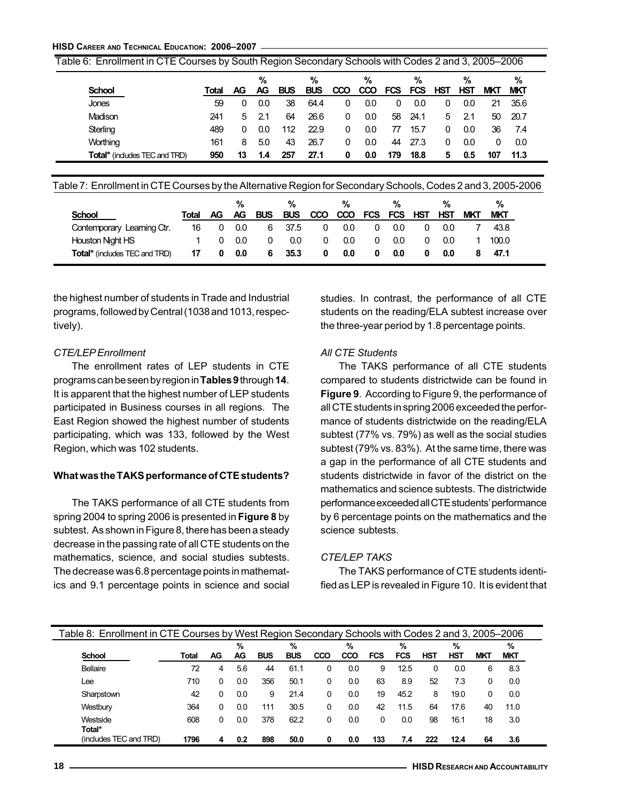|                                     |       |    | %   |            | %          |            | %          |            | %          |            | %   |            | %          |
|-------------------------------------|-------|----|-----|------------|------------|------------|------------|------------|------------|------------|-----|------------|------------|
| <b>School</b>                       | Total | AG | AG  | <b>BUS</b> | <b>BUS</b> | <b>CCO</b> | <b>CCO</b> | <b>FCS</b> | <b>FCS</b> | <b>HST</b> | HST | <b>MKT</b> | <b>MKT</b> |
| <b>Jones</b>                        | 59    | 0  | 0.0 | 38         | 64.4       |            | 0.0        | 0          | 0.0        | 0          | 0.0 | 21         | 35.6       |
| Madison                             | 241   | 5. | 2.1 | 64         | 26.6       | 0          | 0.0        | 58         | 24.1       | 5.         | 2.1 | 50.        | -20.7      |
| Sterling                            | 489   | 0  | 0.0 | 112        | 22.9       | 0          | 0.0        | 77         | 15.7       | 0          | 0.0 | 36         | 7.4        |
| Worthing                            | 161   | 8  | 5.0 | 43         | 26.7       |            | 0.0        | 44         | 27.3       | 0          | 0.0 |            | 0.0        |
| <b>Total*</b> (indudes TEC and TRD) | 950   | 13 | 1.4 | 257        | 27.1       | 0          | 0.0        | 179        | 18.8       | 5          | 0.5 | 107        | 11.3       |

Table 7: Enrollment in CTE Courses by the Alternative Region for Secondary Schools, Codes 2 and 3, 2005-2006

|                                      |       |     | %   |            | %          |            | %          |         | %   |            | %          |            | %          |
|--------------------------------------|-------|-----|-----|------------|------------|------------|------------|---------|-----|------------|------------|------------|------------|
| <b>School</b>                        | Total | AG. | AG. | <b>BUS</b> | <b>BUS</b> | <b>CCO</b> | <b>CCO</b> | FCS FCS |     | <b>HST</b> | <b>HST</b> | <b>MKT</b> | <b>MKT</b> |
| Contemporary Learning Ctr.           | 16    |     | 0.0 | 6          | 37.5       | 0          | 0.0        | 0       | 0.0 |            | 0.0        |            | 43.8       |
| <b>Houston Night HS</b>              |       |     | 0.0 |            | 0.0        | 0          | 0.0        | 0       | 0.0 |            | 0.0        |            | 100.0      |
| <b>Total*</b> (includes TEC and TRD) | 17    | 0   | 0.0 | 6          | 35.3       | 0          | 0.0        |         | 0.0 |            | 0.0        |            | 47.1       |

the highest number of students in Trade and Industrial programs, followed by Central (1038 and 1013, respectively).

#### CTE/LEP Enrollment

The enrollment rates of LEP students in CTE programs can be seen by region in Tables 9 through 14. It is apparent that the highest number of LEP students participated in Business courses in all regions. The East Region showed the highest number of students participating, which was 133, followed by the West Region, which was 102 students.

#### What was the TAKS performance of CTE students?

The TAKS performance of all CTE students from spring 2004 to spring 2006 is presented in Figure 8 by subtest. As shown in Figure 8, there has been a steady decrease in the passing rate of all CTE students on the mathematics, science, and social studies subtests. The decrease was 6.8 percentage points in mathematics and 9.1 percentage points in science and social studies. In contrast, the performance of all CTE students on the reading/ELA subtest increase over the three-year period by 1.8 percentage points.

#### All CTE Students

The TAKS performance of all CTE students compared to students districtwide can be found in Figure 9. According to Figure 9, the performance of all CTE students in spring 2006 exceeded the performance of students districtwide on the reading/ELA subtest (77% vs. 79%) as well as the social studies subtest (79% vs. 83%). At the same time, there was a gap in the performance of all CTE students and students districtwide in favor of the district on the mathematics and science subtests. The districtwide performance exceeded all CTE students' performance by 6 percentage points on the mathematics and the science subtests.

#### CTE/LEP TAKS

The TAKS performance of CTE students identified as LEP is revealed in Figure 10. It is evident that

| Table 8: Enrollment in CTE Courses by West Region Secondary Schools with Codes 2 and 3, 2005–2006 |       |    |         |            |                 |     |          |     |          |     |          |            |                 |  |
|---------------------------------------------------------------------------------------------------|-------|----|---------|------------|-----------------|-----|----------|-----|----------|-----|----------|------------|-----------------|--|
| <b>School</b>                                                                                     | Total | AG | %<br>AG | <b>BUS</b> | %<br><b>BUS</b> | CCO | %<br>CCO | FCS | %<br>FCS | HST | %<br>HST | <b>MKT</b> | %<br><b>MKT</b> |  |
| Bellaire                                                                                          | 72    | 4  | 5.6     | 44         | 61.1            | 0   | 0.0      | 9   | 12.5     | 0   | 0.0      | 6          | 8.3             |  |
| Lee                                                                                               | 710   | 0  | 0.0     | 356        | 50.1            | 0   | 0.0      | 63  | 8.9      | 52  | 7.3      | 0          | 0.0             |  |
| Sharpstown                                                                                        | 42    | 0  | 0.0     | 9          | 21.4            | 0   | 0.0      | 19  | 45.2     | 8   | 19.0     | 0          | 0.0             |  |
| Westbury                                                                                          | 364   | 0  | 0.0     | 111        | 30.5            | 0   | 0.0      | 42  | 11.5     | 64  | 17.6     | 40         | 11.0            |  |
| Westside<br>Total*                                                                                | 608   | 0  | 0.0     | 378        | 62.2            | 0   | 0.0      | 0   | 0.0      | 98  | 16.1     | 18         | 3.0             |  |
| (includes TEC and TRD)                                                                            | 1796  | 4  | 0.2     | 898        | 50.0            | 0   | 0.0      | 133 | 7.4      | 222 | 12.4     | 64         | 3.6             |  |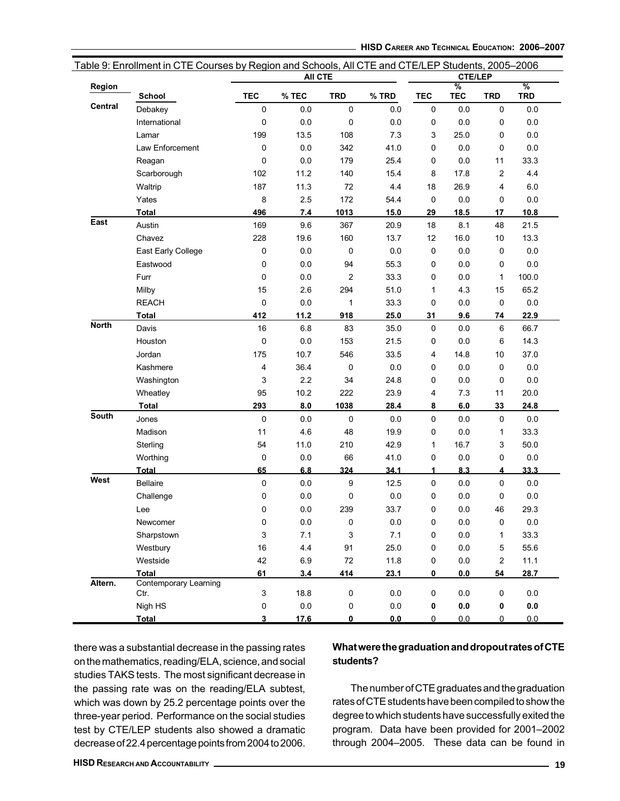|                | Table 9: Enrollment in CTE Courses by Region and Schools, All CTE and CTE/LEP Students, 2005–2006 |                | <b>AII CTE</b> |                |         |             | <b>CTE/LEP</b>              |                |                             |
|----------------|---------------------------------------------------------------------------------------------------|----------------|----------------|----------------|---------|-------------|-----------------------------|----------------|-----------------------------|
| Region         | School                                                                                            | <b>TEC</b>     | % TEC          | <b>TRD</b>     | % TRD   | <b>TEC</b>  | $\frac{9}{6}$<br><b>TEC</b> | <b>TRD</b>     | $\frac{9}{6}$<br><b>TRD</b> |
| <b>Central</b> | Debakey                                                                                           | $\mathbf 0$    | 0.0            | 0              | 0.0     | 0           | 0.0                         | 0              | 0.0                         |
|                | International                                                                                     | $\mathbf 0$    | 0.0            | 0              | 0.0     | 0           | 0.0                         | 0              | 0.0                         |
|                | Lamar                                                                                             | 199            | 13.5           | 108            | 7.3     | 3           | 25.0                        | 0              | 0.0                         |
|                | Law Enforcement                                                                                   | 0              | 0.0            | 342            | 41.0    | 0           | 0.0                         | 0              | 0.0                         |
|                | Reagan                                                                                            | 0              | 0.0            | 179            | 25.4    | 0           | 0.0                         | 11             | 33.3                        |
|                | Scarborough                                                                                       | 102            | 11.2           | 140            | 15.4    | 8           | 17.8                        | 2              | 4.4                         |
|                | Waltrip                                                                                           | 187            | 11.3           | 72             | 4.4     | 18          | 26.9                        | 4              | 6.0                         |
|                | Yates                                                                                             | 8              | 2.5            | 172            | 54.4    | 0           | 0.0                         | 0              | 0.0                         |
|                | <b>Total</b>                                                                                      | 496            | 7.4            | 1013           | 15.0    | 29          | 18.5                        | 17             | 10.8                        |
| East           | Austin                                                                                            | 169            | 9.6            | 367            | 20.9    | 18          | 8.1                         | 48             | 21.5                        |
|                | Chavez                                                                                            | 228            | 19.6           | 160            | 13.7    | 12          | 16.0                        | 10             | 13.3                        |
|                | East Early College                                                                                | 0              | 0.0            | 0              | 0.0     | 0           | 0.0                         | 0              | 0.0                         |
|                | Eastwood                                                                                          | 0              | 0.0            | 94             | 55.3    | 0           | 0.0                         | 0              | 0.0                         |
|                | Furr                                                                                              | $\mathbf 0$    | 0.0            | $\overline{c}$ | 33.3    | 0           | 0.0                         | 1              | 100.0                       |
|                | Milby                                                                                             | 15             | 2.6            | 294            | 51.0    | 1           | 4.3                         | 15             | 65.2                        |
|                | <b>REACH</b>                                                                                      | $\mathbf 0$    | 0.0            | $\mathbf{1}$   | 33.3    | 0           | 0.0                         | 0              | 0.0                         |
|                | Total                                                                                             | 412            | 11.2           | 918            | 25.0    | 31          | 9.6                         | 74             | 22.9                        |
| <b>North</b>   | Davis                                                                                             | 16             | 6.8            | 83             | 35.0    | 0           | 0.0                         | 6              | 66.7                        |
|                | Houston                                                                                           | $\mathbf 0$    | 0.0            | 153            | 21.5    | 0           | 0.0                         | 6              | 14.3                        |
|                | Jordan                                                                                            | 175            | 10.7           | 546            | 33.5    | 4           | 14.8                        | 10             | 37.0                        |
|                | Kashmere                                                                                          | $\overline{4}$ | 36.4           | 0              | 0.0     | 0           | 0.0                         | 0              | 0.0                         |
|                | Washington                                                                                        | 3              | 2.2            | 34             | 24.8    | 0           | 0.0                         | 0              | 0.0                         |
|                | Wheatley                                                                                          | 95             | 10.2           | 222            | 23.9    | 4           | 7.3                         | 11             | 20.0                        |
|                | <b>Total</b>                                                                                      | 293            | 8.0            | 1038           | 28.4    | 8           | 6.0                         | 33             | 24.8                        |
| <b>South</b>   | Jones                                                                                             | 0              | 0.0            | 0              | 0.0     | 0           | 0.0                         | 0              | 0.0                         |
|                | Madison                                                                                           | 11             | 4.6            | 48             | 19.9    | 0           | 0.0                         | 1              | 33.3                        |
|                | Sterling                                                                                          | 54             | 11.0           | 210            | 42.9    | 1           | 16.7                        | 3              | 50.0                        |
|                | Worthing                                                                                          | 0              | 0.0            | 66             | 41.0    | 0           | 0.0                         | 0              | 0.0                         |
|                | Total                                                                                             | 65             | 6.8            | 324            | 34.1    | 1           | 8.3                         | 4              | 33.3                        |
| West           | <b>Bellaire</b>                                                                                   | $\pmb{0}$      | 0.0            | 9              | 12.5    | 0           | 0.0                         | 0              | 0.0                         |
|                | Challenge                                                                                         | 0              | 0.0            | 0              | 0.0     | 0           | 0.0                         | 0              | 0.0                         |
|                | Lee                                                                                               | 0              | 0.0            | 239            | 33.7    | 0           | 0.0                         | 46             | 29.3                        |
|                | Newcomer                                                                                          | $\pmb{0}$      | $0.0\,$        | 0              | $0.0\,$ | 0           | 0.0                         | 0              | $0.0\,$                     |
|                | Sharpstown                                                                                        | 3              | 7.1            | 3              | 7.1     | 0           | 0.0                         | 1              | 33.3                        |
|                | Westbury                                                                                          | 16             | 4.4            | 91             | 25.0    | 0           | $0.0\,$                     | 5              | 55.6                        |
|                | Westside                                                                                          | 42             | 6.9            | 72             | 11.8    | 0           | 0.0                         | $\overline{a}$ | 11.1                        |
|                | <b>Total</b>                                                                                      | 61             | 3.4            | 414            | 23.1    | 0           | 0.0                         | 54             | 28.7                        |
| Altern.        | <b>Contemporary Learning</b><br>Ctr.                                                              | $\mathsf 3$    | 18.8           | $\mathbf 0$    | $0.0\,$ | $\mathsf 0$ | $0.0\,$                     | 0              | $0.0\,$                     |
|                | Nigh HS                                                                                           | $\mathbf 0$    | 0.0            | 0              | 0.0     | 0           | $0.0\,$                     | 0              | $\mathbf{0.0}$              |
|                | <b>Total</b>                                                                                      | 3              | 17.6           | 0              | 0.0     | 0           | 0.0                         | 0              | 0.0                         |

there was a substantial decrease in the passing rates on the mathematics, reading/ELA, science, and social studies TAKS tests. The most significant decrease in the passing rate was on the reading/ELA subtest, which was down by 25.2 percentage points over the three-year period. Performance on the social studies test by CTE/LEP students also showed a dramatic decrease of 22.4 percentage points from 2004 to 2006.

# What were the graduation and dropout rates of CTE students?

The number of CTE graduates and the graduation rates of CTE students have been compiled to show the degree to which students have successfully exited the program. Data have been provided for 2001–2002 through 2004–2005. These data can be found in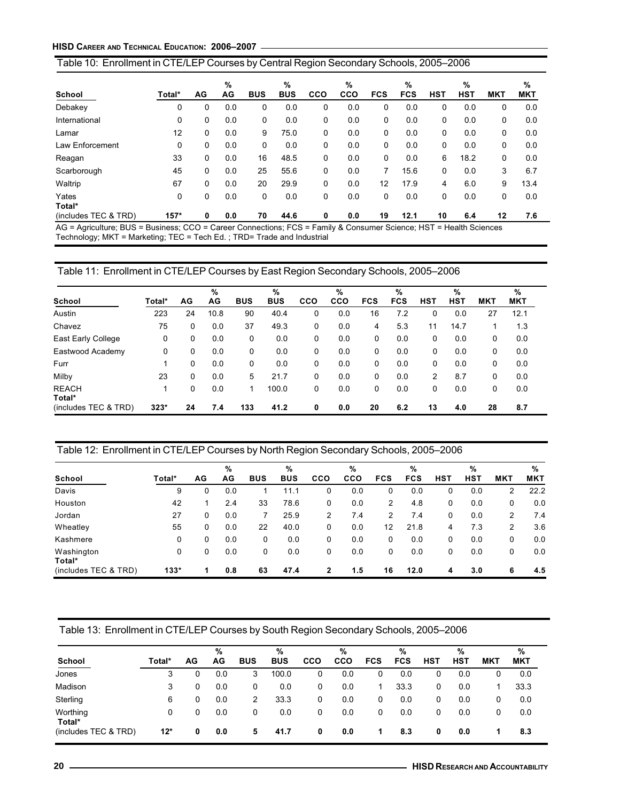# Table 10: Enrollment in CTE/LEP Courses by Central Region Secondary Schools, 2005–2006

|                      |        |     | %   |            | %          |     | %   |            | %          |              | %          |            | %          |
|----------------------|--------|-----|-----|------------|------------|-----|-----|------------|------------|--------------|------------|------------|------------|
| School               | Total* | AG. | AG  | <b>BUS</b> | <b>BUS</b> | CCO | CCO | <b>FCS</b> | <b>FCS</b> | <b>HST</b>   | <b>HST</b> | <b>MKT</b> | <b>MKT</b> |
| Debakey              | 0      | 0   | 0.0 | 0          | 0.0        | 0   | 0.0 | 0          | 0.0        | 0            | 0.0        | 0          | 0.0        |
| International        | 0      | 0   | 0.0 | 0          | 0.0        | 0   | 0.0 | 0          | 0.0        | 0            | 0.0        | 0          | 0.0        |
| Lamar                | 12     | 0   | 0.0 | 9          | 75.0       | 0   | 0.0 | 0          | 0.0        | $\mathbf{0}$ | 0.0        | 0          | 0.0        |
| Law Enforcement      | 0      | 0   | 0.0 | 0          | 0.0        | 0   | 0.0 | 0          | 0.0        | $\Omega$     | 0.0        | 0          | 0.0        |
| Reagan               | 33     | 0   | 0.0 | 16         | 48.5       | 0   | 0.0 | 0          | 0.0        | 6            | 18.2       | 0          | 0.0        |
| Scarborough          | 45     | 0   | 0.0 | 25         | 55.6       | 0   | 0.0 | 7          | 15.6       | $\Omega$     | 0.0        | 3          | 6.7        |
| Waltrip              | 67     | 0   | 0.0 | 20         | 29.9       | 0   | 0.0 | 12         | 17.9       | 4            | 6.0        | 9          | 13.4       |
| Yates<br>Total*      | 0      | 0   | 0.0 | 0          | 0.0        | 0   | 0.0 | 0          | 0.0        | $\Omega$     | 0.0        | 0          | 0.0        |
| (includes TEC & TRD) | $157*$ | 0   | 0.0 | 70         | 44.6       | 0   | 0.0 | 19         | 12.1       | 10           | 6.4        | 12         | 7.6        |

AG = Agriculture; BUS = Business; CCO = Career Connections; FCS = Family & Consumer Science; HST = Health Sciences Technology; MKT = Marketing; TEC = Tech Ed. ; TRD= Trade and Industrial

# Table 11: Enrollment in CTE/LEP Courses by East Region Secondary Schools, 2005–2006

|                        |        |    | %    |            | %          |     | %          |            | %          |            | %          |            | %          |
|------------------------|--------|----|------|------------|------------|-----|------------|------------|------------|------------|------------|------------|------------|
| School                 | Total* | AG | AG   | <b>BUS</b> | <b>BUS</b> | cco | <b>CCO</b> | <b>FCS</b> | <b>FCS</b> | <b>HST</b> | <b>HST</b> | <b>MKT</b> | <b>MKT</b> |
| Austin                 | 223    | 24 | 10.8 | 90         | 40.4       | 0   | 0.0        | 16         | 7.2        | 0          | 0.0        | 27         | 12.1       |
| Chavez                 | 75     | 0  | 0.0  | 37         | 49.3       | 0   | 0.0        | 4          | 5.3        | 11         | 14.7       |            | 1.3        |
| East Early College     | 0      | 0  | 0.0  | 0          | 0.0        | 0   | 0.0        | 0          | 0.0        | 0          | 0.0        | 0          | 0.0        |
| Eastwood Academy       | 0      | 0  | 0.0  | 0          | 0.0        | 0   | 0.0        | 0          | 0.0        | 0          | 0.0        | 0          | 0.0        |
| Furr                   |        | 0  | 0.0  | 0          | 0.0        | 0   | 0.0        | 0          | 0.0        | 0          | 0.0        | 0          | 0.0        |
| Milby                  | 23     | 0  | 0.0  | 5          | 21.7       | 0   | 0.0        | 0          | 0.0        | 2          | 8.7        | 0          | 0.0        |
| <b>REACH</b><br>Total* |        | 0  | 0.0  |            | 100.0      | 0   | 0.0        | 0          | 0.0        | 0          | 0.0        | 0          | 0.0        |
| (includes TEC & TRD)   | $323*$ | 24 | 7.4  | 133        | 41.2       | 0   | 0.0        | 20         | 6.2        | 13         | 4.0        | 28         | 8.7        |

# Table 12: Enrollment in CTE/LEP Courses by North Region Secondary Schools, 2005–2006

|                      |        |    | %   |            | %          |     | %          |            | $\frac{9}{6}$ |            | %          |            | %          |
|----------------------|--------|----|-----|------------|------------|-----|------------|------------|---------------|------------|------------|------------|------------|
| School               | Total* | AG | AG  | <b>BUS</b> | <b>BUS</b> | cco | <b>CCO</b> | <b>FCS</b> | <b>FCS</b>    | <b>HST</b> | <b>HST</b> | <b>MKT</b> | <b>MKT</b> |
| Davis                | 9      | 0  | 0.0 |            | 11.1       | 0   | 0.0        | 0          | 0.0           | 0          | 0.0        | 2          | 22.2       |
| Houston              | 42     |    | 2.4 | 33         | 78.6       | 0   | 0.0        | 2          | 4.8           | 0          | 0.0        | 0          | 0.0        |
| Jordan               | 27     | 0  | 0.0 |            | 25.9       | 2   | 7.4        | 2          | 7.4           | 0          | 0.0        | 2          | 7.4        |
| Wheatley             | 55     | 0  | 0.0 | 22         | 40.0       | 0   | 0.0        | 12         | 21.8          | 4          | 7.3        | 2          | 3.6        |
| Kashmere             | 0      | 0  | 0.0 | 0          | 0.0        | 0   | 0.0        | 0          | 0.0           | 0          | 0.0        | 0          | 0.0        |
| Washington<br>Total* | 0      | 0  | 0.0 | 0          | 0.0        | 0   | 0.0        | 0          | 0.0           | 0          | 0.0        | 0          | 0.0        |
| (includes TEC & TRD) | $133*$ | 1  | 0.8 | 63         | 47.4       | 2   | 1.5        | 16         | 12.0          | 4          | 3.0        | 6          | 4.5        |

Table 13: Enrollment in CTE/LEP Courses by South Region Secondary Schools, 2005–2006

|                      |        |    | %   |            | %          |            | %          |            | %          |            | %   |            | %          |
|----------------------|--------|----|-----|------------|------------|------------|------------|------------|------------|------------|-----|------------|------------|
| School               | Total* | AG | AG  | <b>BUS</b> | <b>BUS</b> | <b>CCO</b> | <b>CCO</b> | <b>FCS</b> | <b>FCS</b> | <b>HST</b> | HST | <b>MKT</b> | <b>MKT</b> |
| Jones                | 3      | 0  | 0.0 | 3          | 100.0      | 0          | 0.0        | 0          | 0.0        | 0          | 0.0 |            | 0.0        |
| Madison              | 3      | 0  | 0.0 | 0          | 0.0        | 0          | 0.0        |            | 33.3       | 0          | 0.0 |            | 33.3       |
| Sterling             | 6      | 0  | 0.0 | 2          | 33.3       | 0          | 0.0        | 0          | 0.0        | 0          | 0.0 | 0          | 0.0        |
| Worthing<br>Total*   | 0      | 0  | 0.0 | 0          | 0.0        | 0          | 0.0        | 0          | 0.0        | 0          | 0.0 |            | 0.0        |
| (includes TEC & TRD) | $12*$  | 0  | 0.0 | 5          | 41.7       | 0          | 0.0        |            | 8.3        | 0          | 0.0 |            | 8.3        |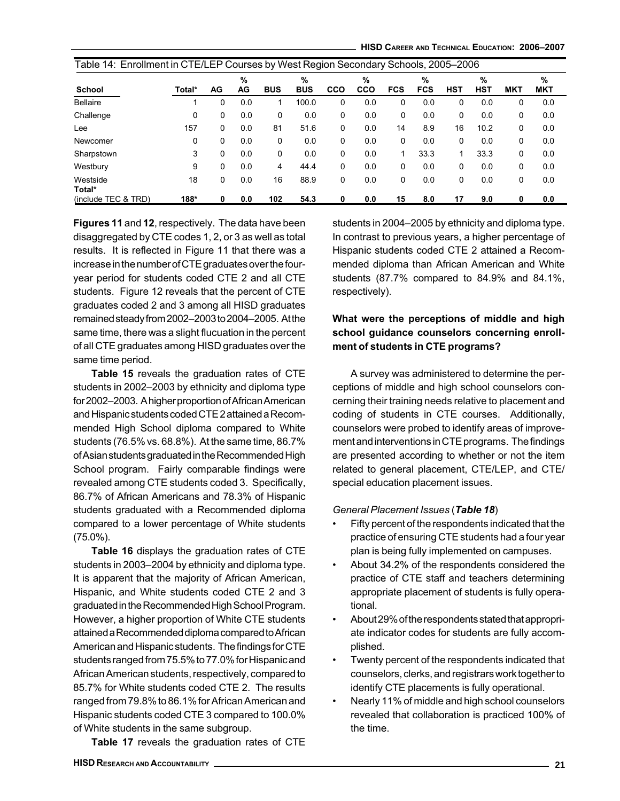HISD CAREER AND TECHNICAL EDUCATION: 2006–2007

|                     | Table 14: Enrollment in CTE/LEP Courses by West Region Secondary Schools, 2005–2006 |    |         |            |                 |     |                 |            |                 |            |                 |            |                 |
|---------------------|-------------------------------------------------------------------------------------|----|---------|------------|-----------------|-----|-----------------|------------|-----------------|------------|-----------------|------------|-----------------|
| <b>School</b>       | Total*                                                                              | AG | %<br>AG | <b>BUS</b> | %<br><b>BUS</b> | CCO | %<br><b>CCO</b> | <b>FCS</b> | %<br><b>FCS</b> | <b>HST</b> | %<br><b>HST</b> | <b>MKT</b> | %<br><b>MKT</b> |
| <b>Bellaire</b>     |                                                                                     | 0  | 0.0     |            | 100.0           | 0   | 0.0             | 0          | 0.0             | 0          | 0.0             | 0          | 0.0             |
| Challenge           | 0                                                                                   | 0  | 0.0     | 0          | 0.0             | 0   | 0.0             | 0          | 0.0             | 0          | 0.0             | $\Omega$   | 0.0             |
| Lee                 | 157                                                                                 | 0  | 0.0     | 81         | 51.6            | 0   | 0.0             | 14         | 8.9             | 16         | 10.2            | 0          | 0.0             |
| Newcomer            | 0                                                                                   | 0  | 0.0     | 0          | 0.0             | 0   | 0.0             | 0          | 0.0             | 0          | 0.0             | $\Omega$   | 0.0             |
| Sharpstown          | 3                                                                                   | 0  | 0.0     | 0          | 0.0             | 0   | 0.0             |            | 33.3            | 1          | 33.3            | 0          | 0.0             |
| Westbury            | 9                                                                                   | 0  | 0.0     | 4          | 44.4            | 0   | 0.0             | 0          | 0.0             | 0          | 0.0             | $\Omega$   | 0.0             |
| Westside<br>Total*  | 18                                                                                  | 0  | 0.0     | 16         | 88.9            | 0   | 0.0             | 0          | 0.0             | 0          | 0.0             | $\Omega$   | 0.0             |
| (include TEC & TRD) | 188*                                                                                | 0  | 0.0     | 102        | 54.3            | 0   | 0.0             | 15         | 8.0             | 17         | 9.0             | 0          | 0.0             |

Figures 11 and 12, respectively. The data have been disaggregated by CTE codes 1, 2, or 3 as well as total results. It is reflected in Figure 11 that there was a increase in the number of CTE graduates over the fouryear period for students coded CTE 2 and all CTE students. Figure 12 reveals that the percent of CTE graduates coded 2 and 3 among all HISD graduates remained steady from 2002–2003 to 2004–2005. At the same time, there was a slight flucuation in the percent of all CTE graduates among HISD graduates over the same time period.

Table 15 reveals the graduation rates of CTE students in 2002–2003 by ethnicity and diploma type for 2002–2003. A higher proportion of African American and Hispanic students coded CTE 2 attained a Recommended High School diploma compared to White students (76.5% vs. 68.8%). At the same time, 86.7% of Asian students graduated in the Recommended High School program. Fairly comparable findings were revealed among CTE students coded 3. Specifically, 86.7% of African Americans and 78.3% of Hispanic students graduated with a Recommended diploma compared to a lower percentage of White students (75.0%).

Table 16 displays the graduation rates of CTE students in 2003–2004 by ethnicity and diploma type. It is apparent that the majority of African American, Hispanic, and White students coded CTE 2 and 3 graduated in the Recommended High School Program. However, a higher proportion of White CTE students attained a Recommended diploma compared to African American and Hispanic students. The findings for CTE students ranged from 75.5% to 77.0% for Hispanic and African American students, respectively, compared to 85.7% for White students coded CTE 2. The results ranged from 79.8% to 86.1% for African American and Hispanic students coded CTE 3 compared to 100.0% of White students in the same subgroup.

Table 17 reveals the graduation rates of CTE

students in 2004–2005 by ethnicity and diploma type. In contrast to previous years, a higher percentage of Hispanic students coded CTE 2 attained a Recommended diploma than African American and White students (87.7% compared to 84.9% and 84.1%, respectively).

# What were the perceptions of middle and high school guidance counselors concerning enrollment of students in CTE programs?

A survey was administered to determine the perceptions of middle and high school counselors concerning their training needs relative to placement and coding of students in CTE courses. Additionally, counselors were probed to identify areas of improvement and interventions in CTE programs. The findings are presented according to whether or not the item related to general placement, CTE/LEP, and CTE/ special education placement issues.

# General Placement Issues (Table 18)

- Fifty percent of the respondents indicated that the practice of ensuring CTE students had a four year plan is being fully implemented on campuses.
- About 34.2% of the respondents considered the practice of CTE staff and teachers determining appropriate placement of students is fully operational.
- About 29% of the respondents stated that appropriate indicator codes for students are fully accomplished.
- Twenty percent of the respondents indicated that counselors, clerks, and registrars work together to identify CTE placements is fully operational.
- Nearly 11% of middle and high school counselors revealed that collaboration is practiced 100% of the time.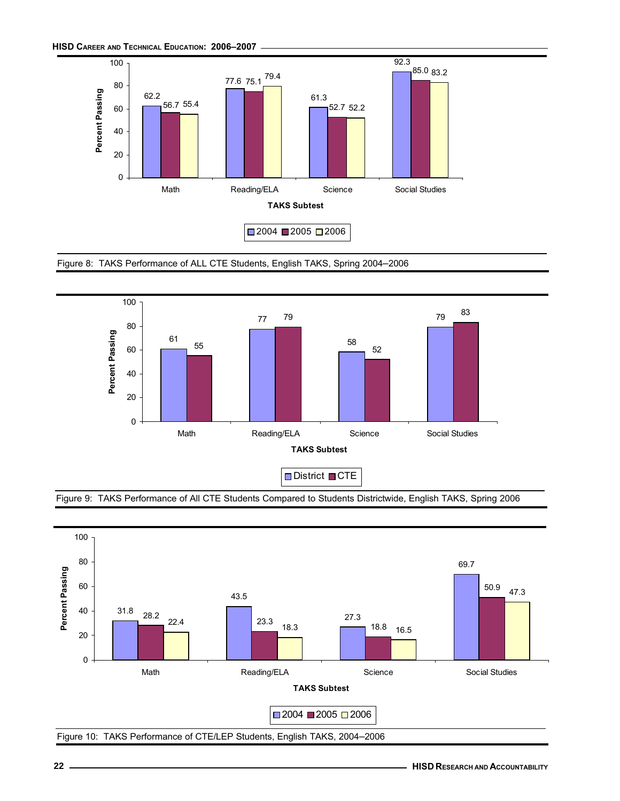HISD CAREER AND TECHNICAL EDUCATION: 2006–2007







Figure 9: TAKS Performance of All CTE Students Compared to Students Districtwide, English TAKS, Spring 2006

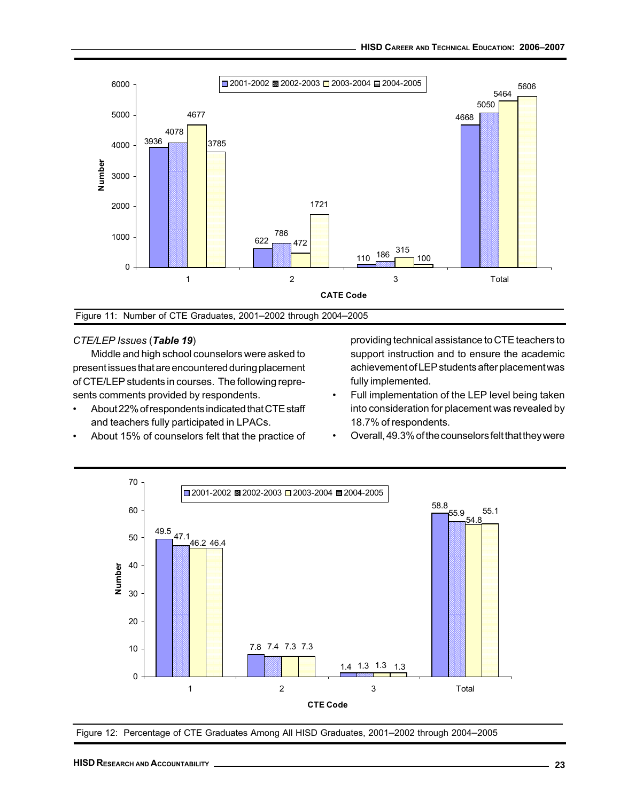

Figure 11: Number of CTE Graduates, 2001–2002 through 2004–2005

#### CTE/LEP Issues (Table 19)

Middle and high school counselors were asked to present issues that are encountered during placement of CTE/LEP students in courses. The following represents comments provided by respondents.

- About 22% of respondents indicated that CTE staff and teachers fully participated in LPACs.
- About 15% of counselors felt that the practice of

providing technical assistance to CTE teachers to support instruction and to ensure the academic achievement of LEP students after placement was fully implemented.

- Full implementation of the LEP level being taken into consideration for placement was revealed by 18.7% of respondents.
- Overall, 49.3% of the counselors felt that they were



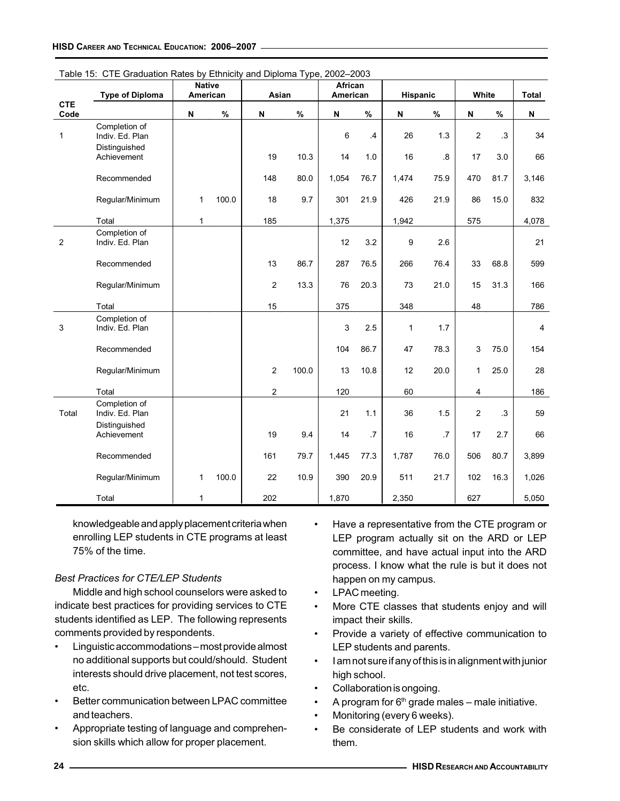|                    | <b>Type of Diploma</b>           | <b>Native</b><br>American |       | Asian                     |       | African<br>American       |           | Hispanic |      | White          |      | Total          |
|--------------------|----------------------------------|---------------------------|-------|---------------------------|-------|---------------------------|-----------|----------|------|----------------|------|----------------|
| <b>CTE</b><br>Code |                                  | N                         | $\%$  | $\boldsymbol{\mathsf{N}}$ | $\%$  | $\boldsymbol{\mathsf{N}}$ | $\%$      | N        | $\%$ | N              | $\%$ | N              |
| $\mathbf{1}$       | Completion of<br>Indiv. Ed. Plan |                           |       |                           |       | 6                         | $\cdot$ 4 | 26       | 1.3  | 2              | .3   | 34             |
|                    | Distinguished<br>Achievement     |                           |       | 19                        | 10.3  | 14                        | 1.0       | 16       | .8   | 17             | 3.0  | 66             |
|                    | Recommended                      |                           |       | 148                       | 80.0  | 1,054                     | 76.7      | 1,474    | 75.9 | 470            | 81.7 | 3,146          |
|                    | Regular/Minimum                  | 1                         | 100.0 | 18                        | 9.7   | 301                       | 21.9      | 426      | 21.9 | 86             | 15.0 | 832            |
|                    | Total                            | $\mathbf{1}$              |       | 185                       |       | 1,375                     |           | 1,942    |      | 575            |      | 4,078          |
| $\overline{2}$     | Completion of<br>Indiv. Ed. Plan |                           |       |                           |       | 12                        | 3.2       | 9        | 2.6  |                |      | 21             |
|                    | Recommended                      |                           |       | 13                        | 86.7  | 287                       | 76.5      | 266      | 76.4 | 33             | 68.8 | 599            |
|                    | Regular/Minimum                  |                           |       | $\overline{c}$            | 13.3  | 76                        | 20.3      | 73       | 21.0 | 15             | 31.3 | 166            |
|                    | Total                            |                           |       | 15                        |       | 375                       |           | 348      |      | 48             |      | 786            |
| 3                  | Completion of<br>Indiv. Ed. Plan |                           |       |                           |       | 3                         | 2.5       | 1        | 1.7  |                |      | $\overline{4}$ |
|                    | Recommended                      |                           |       |                           |       | 104                       | 86.7      | 47       | 78.3 | $\mathbf{3}$   | 75.0 | 154            |
|                    | Regular/Minimum                  |                           |       | $\overline{2}$            | 100.0 | 13                        | 10.8      | 12       | 20.0 | 1              | 25.0 | 28             |
|                    | Total                            |                           |       | $\overline{2}$            |       | 120                       |           | 60       |      | 4              |      | 186            |
| Total              | Completion of<br>Indiv. Ed. Plan |                           |       |                           |       | 21                        | 1.1       | 36       | 1.5  | $\overline{c}$ | .3   | 59             |
|                    | Distinguished<br>Achievement     |                           |       | 19                        | 9.4   | 14                        | .7        | 16       | .7   | 17             | 2.7  | 66             |
|                    | Recommended                      |                           |       | 161                       | 79.7  | 1,445                     | 77.3      | 1,787    | 76.0 | 506            | 80.7 | 3,899          |
|                    | Regular/Minimum                  | 1                         | 100.0 | 22                        | 10.9  | 390                       | 20.9      | 511      | 21.7 | 102            | 16.3 | 1,026          |
|                    | Total                            | $\mathbf{1}$              |       | 202                       |       | 1,870                     |           | 2,350    |      | 627            |      | 5,050          |

Table 15: CTE Graduation Rates by Ethnicity and Diploma Type, 2002–2003

knowledgeable and apply placement criteria when enrolling LEP students in CTE programs at least 75% of the time.

# Best Practices for CTE/LEP Students

Middle and high school counselors were asked to indicate best practices for providing services to CTE students identified as LEP. The following represents comments provided by respondents.

- Linguistic accommodations most provide almost no additional supports but could/should. Student interests should drive placement, not test scores, etc.
- Better communication between LPAC committee and teachers.
- Appropriate testing of language and comprehension skills which allow for proper placement.
- Have a representative from the CTE program or LEP program actually sit on the ARD or LEP committee, and have actual input into the ARD process. I know what the rule is but it does not happen on my campus.
- LPAC meeting.
- More CTE classes that students enjoy and will impact their skills.
- Provide a variety of effective communication to LEP students and parents.
- I am not sure if any of this is in alignment with junior high school.
- Collaboration is ongoing.
- A program for  $6<sup>th</sup>$  grade males male initiative.
- Monitoring (every 6 weeks).
- Be considerate of LEP students and work with them.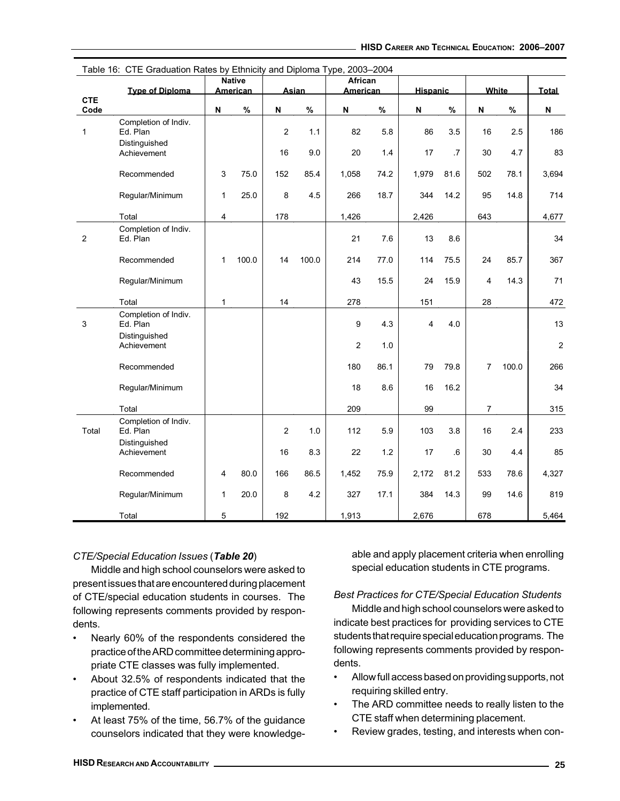| $1$ avic $10$ . | $\cup$ i L Graduation is alco by Lumicity and Diploma Type, 2003–2004 |                           | <b>Native</b>   |                  |              | African         |      |                 |      |                |              |            |
|-----------------|-----------------------------------------------------------------------|---------------------------|-----------------|------------------|--------------|-----------------|------|-----------------|------|----------------|--------------|------------|
| <b>CTE</b>      | <b>Type of Diploma</b>                                                |                           | <b>American</b> |                  | <b>Asian</b> | <b>American</b> |      | <b>Hispanic</b> |      |                | <b>White</b> | Total      |
| Code            |                                                                       | $\boldsymbol{\mathsf{N}}$ | $\%$            | N                | $\%$         | N               | $\%$ | N               | $\%$ | N              | $\%$         | N          |
| $\mathbf{1}$    | Completion of Indiv.<br>Ed. Plan                                      |                           |                 | $\overline{c}$   | 1.1          | 82              | 5.8  | 86              | 3.5  | 16             | 2.5          | 186        |
|                 | Distinguished<br>Achievement                                          |                           |                 | 16               | 9.0          | 20              | 1.4  | 17              | .7   | 30             | 4.7          | 83         |
|                 | Recommended                                                           | 3                         | 75.0            | 152              | 85.4         | 1,058           | 74.2 | 1,979           | 81.6 | 502            | 78.1         | 3,694      |
|                 | Regular/Minimum                                                       | $\mathbf{1}$              | 25.0            | 8                | 4.5          | 266             | 18.7 | 344             | 14.2 | 95             | 14.8         | 714        |
|                 | Total                                                                 | $\overline{\mathbf{4}}$   |                 | 178              |              | 1,426           |      | 2,426           |      | 643            |              | 4,677      |
| $\overline{c}$  | Completion of Indiv.<br>Ed. Plan                                      |                           |                 |                  |              | 21              | 7.6  | 13              | 8.6  |                |              | 34         |
|                 | Recommended                                                           | 1                         | 100.0           | 14               | 100.0        | 214             | 77.0 | 114             | 75.5 | 24             | 85.7         | 367        |
|                 | Regular/Minimum                                                       |                           |                 |                  |              | 43              | 15.5 | 24              | 15.9 | 4              | 14.3         | 71         |
|                 | Total                                                                 | $\mathbf 1$               |                 | 14               |              | 278             |      | 151             |      | 28             |              | 472        |
| $\mathbf{3}$    | Completion of Indiv.<br>Ed. Plan                                      |                           |                 |                  |              | 9               | 4.3  | $\overline{4}$  | 4.0  |                |              | 13         |
|                 | Distinguished<br>Achievement                                          |                           |                 |                  |              | $\overline{c}$  | 1.0  |                 |      |                |              | $\sqrt{2}$ |
|                 | Recommended                                                           |                           |                 |                  |              | 180             | 86.1 | 79              | 79.8 | $\overline{7}$ | 100.0        | 266        |
|                 | Regular/Minimum                                                       |                           |                 |                  |              | 18              | 8.6  | 16              | 16.2 |                |              | 34         |
|                 | Total                                                                 |                           |                 |                  |              | 209             |      | 99              |      | $\overline{7}$ |              | 315        |
| Total           | Completion of Indiv.<br>Ed. Plan                                      |                           |                 | $\boldsymbol{2}$ | 1.0          | 112             | 5.9  | 103             | 3.8  | 16             | 2.4          | 233        |
|                 | Distinguished<br>Achievement                                          |                           |                 | 16               | 8.3          | 22              | 1.2  | 17              | .6   | 30             | 4.4          | 85         |
|                 | Recommended                                                           | $\overline{4}$            | 80.0            | 166              | 86.5         | 1,452           | 75.9 | 2,172           | 81.2 | 533            | 78.6         | 4,327      |
|                 | Regular/Minimum                                                       | 1                         | 20.0            | 8                | 4.2          | 327             | 17.1 | 384             | 14.3 | 99             | 14.6         | 819        |
|                 | Total                                                                 | $\,$ 5 $\,$               |                 | 192              |              | 1,913           |      | 2,676           |      | 678            |              | 5,464      |

Table 16: CTE Graduation Rates by Ethnicity and Diploma Type, 2003–2004

# CTE/Special Education Issues (Table 20)

Middle and high school counselors were asked to present issues that are encountered during placement of CTE/special education students in courses. The following represents comments provided by respondents.

- Nearly 60% of the respondents considered the practice of the ARD committee determining appropriate CTE classes was fully implemented.
- About 32.5% of respondents indicated that the practice of CTE staff participation in ARDs is fully implemented.
- At least 75% of the time, 56.7% of the guidance counselors indicated that they were knowledge-

able and apply placement criteria when enrolling special education students in CTE programs.

# Best Practices for CTE/Special Education Students

Middle and high school counselors were asked to indicate best practices for providing services to CTE students that require special education programs. The following represents comments provided by respondents.

- Allow full access based on providing supports, not requiring skilled entry.
- The ARD committee needs to really listen to the CTE staff when determining placement.
- Review grades, testing, and interests when con-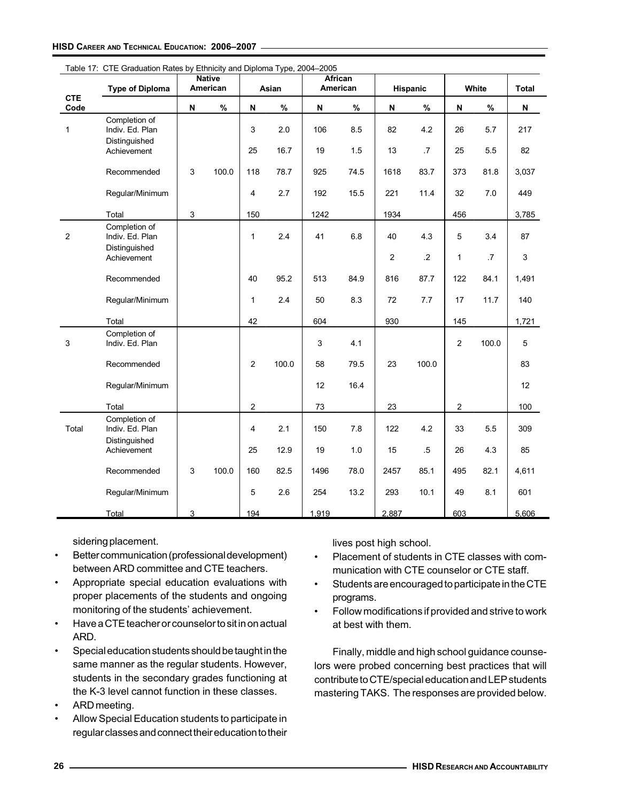|                    | <b>Type of Diploma</b>                            |                           | <b>Native</b><br>American |                           | Asian |       | <b>African</b><br>American |              | <b>Hispanic</b> |                           | White | <b>Total</b> |
|--------------------|---------------------------------------------------|---------------------------|---------------------------|---------------------------|-------|-------|----------------------------|--------------|-----------------|---------------------------|-------|--------------|
| <b>CTE</b><br>Code |                                                   | $\boldsymbol{\mathsf{N}}$ | $\%$                      | $\boldsymbol{\mathsf{N}}$ | $\%$  | N     | $\%$                       | N            | %               | $\boldsymbol{\mathsf{N}}$ | $\%$  | N            |
| $\mathbf{1}$       | Completion of<br>Indiv. Ed. Plan<br>Distinguished |                           |                           | 3                         | 2.0   | 106   | 8.5                        | 82           | 4.2             | 26                        | 5.7   | 217          |
|                    | Achievement                                       |                           |                           | 25                        | 16.7  | 19    | 1.5                        | 13           | $.7\,$          | 25                        | 5.5   | 82           |
|                    | Recommended                                       | 3                         | 100.0                     | 118                       | 78.7  | 925   | 74.5                       | 1618         | 83.7            | 373                       | 81.8  | 3,037        |
|                    | Regular/Minimum                                   |                           |                           | 4                         | 2.7   | 192   | 15.5                       | 221          | 11.4            | 32                        | 7.0   | 449          |
|                    | Total                                             | 3                         |                           | 150                       |       | 1242  |                            | 1934         |                 | 456                       |       | 3,785        |
| $\overline{2}$     | Completion of<br>Indiv. Ed. Plan                  |                           |                           | $\mathbf{1}$              | 2.4   | 41    | 6.8                        | 40           | 4.3             | 5                         | 3.4   | 87           |
|                    | Distinguished<br>Achievement                      |                           |                           |                           |       |       |                            | $\mathbf{2}$ | $\cdot$ .2      | 1                         | .7    | 3            |
|                    | Recommended                                       |                           |                           | 40                        | 95.2  | 513   | 84.9                       | 816          | 87.7            | 122                       | 84.1  | 1,491        |
|                    | Regular/Minimum                                   |                           |                           | $\mathbf{1}$              | 2.4   | 50    | 8.3                        | 72           | 7.7             | 17                        | 11.7  | 140          |
|                    | Total                                             |                           |                           | 42                        |       | 604   |                            | 930          |                 | 145                       |       | 1,721        |
| 3                  | Completion of<br>Indiv. Ed. Plan                  |                           |                           |                           |       | 3     | 4.1                        |              |                 | $\overline{c}$            | 100.0 | 5            |
|                    | Recommended                                       |                           |                           | 2                         | 100.0 | 58    | 79.5                       | 23           | 100.0           |                           |       | 83           |
|                    | Regular/Minimum                                   |                           |                           |                           |       | 12    | 16.4                       |              |                 |                           |       | 12           |
|                    | Total                                             |                           |                           | $\sqrt{2}$                |       | 73    |                            | 23           |                 | $\boldsymbol{2}$          |       | 100          |
| Total              | Completion of<br>Indiv. Ed. Plan<br>Distinguished |                           |                           | 4                         | 2.1   | 150   | 7.8                        | 122          | 4.2             | 33                        | 5.5   | 309          |
|                    | Achievement                                       |                           |                           | 25                        | 12.9  | 19    | 1.0                        | 15           | $.5\,$          | 26                        | 4.3   | 85           |
|                    | Recommended                                       | $\sqrt{3}$                | 100.0                     | 160                       | 82.5  | 1496  | 78.0                       | 2457         | 85.1            | 495                       | 82.1  | 4,611        |
|                    | Regular/Minimum                                   |                           |                           | 5                         | 2.6   | 254   | 13.2                       | 293          | 10.1            | 49                        | 8.1   | 601          |
|                    | Total                                             | 3                         |                           | 194                       |       | 1,919 |                            | 2,887        |                 | 603                       |       | 5,606        |

Table 17: CTE Graduation Rates by Ethnicity and Diploma Type, 2004-2005

sidering placement.

- Better communication (professional development) between ARD committee and CTE teachers.
- Appropriate special education evaluations with proper placements of the students and ongoing monitoring of the students' achievement.
- Have a CTE teacher or counselor to sit in on actual ARD.
- Special education students should be taught in the same manner as the regular students. However, students in the secondary grades functioning at the K-3 level cannot function in these classes.
- ARD meeting.
- Allow Special Education students to participate in regular classes and connect their education to their

lives post high school.

- Placement of students in CTE classes with communication with CTE counselor or CTE staff.
- Students are encouraged to participate in the CTE programs.
- Follow modifications if provided and strive to work at best with them.

Finally, middle and high school guidance counselors were probed concerning best practices that will contribute to CTE/special education and LEP students mastering TAKS. The responses are provided below.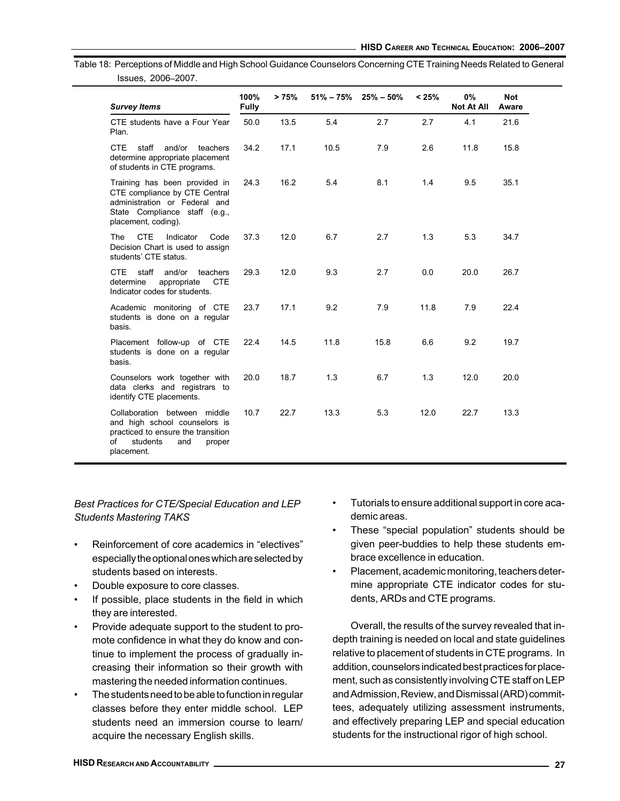Table 18: Perceptions of Middle and High School Guidance Counselors Concerning CTE Training Needs Related to General Issues, 2006–2007.

| <b>Survey Items</b>                                                                                                                                     | 100%<br><b>Fully</b> | >75% |      | $51\% - 75\%$ 25% - 50% | < 25% | $0\%$<br><b>Not At All</b> | <b>Not</b><br>Aware |
|---------------------------------------------------------------------------------------------------------------------------------------------------------|----------------------|------|------|-------------------------|-------|----------------------------|---------------------|
| CTE students have a Four Year<br>Plan.                                                                                                                  | 50.0                 | 13.5 | 5.4  | 2.7                     | 2.7   | 4.1                        | 21.6                |
| CTE<br>staff<br>and/or<br>teachers<br>determine appropriate placement<br>of students in CTE programs.                                                   | 34.2                 | 17.1 | 10.5 | 7.9                     | 2.6   | 11.8                       | 15.8                |
| Training has been provided in<br>CTE compliance by CTE Central<br>administration or Federal and<br>State Compliance staff (e.g.,<br>placement, coding). | 24.3                 | 16.2 | 5.4  | 8.1                     | 1.4   | 9.5                        | 35.1                |
| <b>CTE</b><br>Indicator<br>The<br>Code<br>Decision Chart is used to assign<br>students' CTE status.                                                     | 37.3                 | 12.0 | 6.7  | 2.7                     | 1.3   | 5.3                        | 34.7                |
| CTE<br>staff<br>and/or<br>teachers<br><b>CTE</b><br>determine<br>appropriate<br>Indicator codes for students.                                           | 29.3                 | 12.0 | 9.3  | 2.7                     | 0.0   | 20.0                       | 26.7                |
| Academic monitoring of CTE<br>students is done on a regular<br>basis.                                                                                   | 23.7                 | 17.1 | 9.2  | 7.9                     | 11.8  | 7.9                        | 22.4                |
| Placement follow-up of CTE<br>students is done on a regular<br>basis.                                                                                   | 22.4                 | 14.5 | 11.8 | 15.8                    | 6.6   | 9.2                        | 19.7                |
| Counselors work together with<br>data clerks and registrars to<br>identify CTE placements.                                                              | 20.0                 | 18.7 | 1.3  | 6.7                     | 1.3   | 12.0                       | 20.0                |
| Collaboration between middle<br>and high school counselors is<br>practiced to ensure the transition<br>students<br>∩f<br>and<br>proper<br>placement.    | 10.7                 | 22.7 | 13.3 | 5.3                     | 12.0  | 22.7                       | 13.3                |

# Best Practices for CTE/Special Education and LEP Students Mastering TAKS

- Reinforcement of core academics in "electives" especially the optional ones which are selected by students based on interests.
- Double exposure to core classes.
- If possible, place students in the field in which they are interested.
- Provide adequate support to the student to promote confidence in what they do know and continue to implement the process of gradually increasing their information so their growth with mastering the needed information continues.
- The students need to be able to function in regular classes before they enter middle school. LEP students need an immersion course to learn/ acquire the necessary English skills.
- Tutorials to ensure additional support in core academic areas.
- These "special population" students should be given peer-buddies to help these students embrace excellence in education.
- Placement, academic monitoring, teachers determine appropriate CTE indicator codes for students, ARDs and CTE programs.

Overall, the results of the survey revealed that indepth training is needed on local and state guidelines relative to placement of students in CTE programs. In addition, counselors indicated best practices for placement, such as consistently involving CTE staff on LEP and Admission, Review, and Dismissal (ARD) committees, adequately utilizing assessment instruments, and effectively preparing LEP and special education students for the instructional rigor of high school.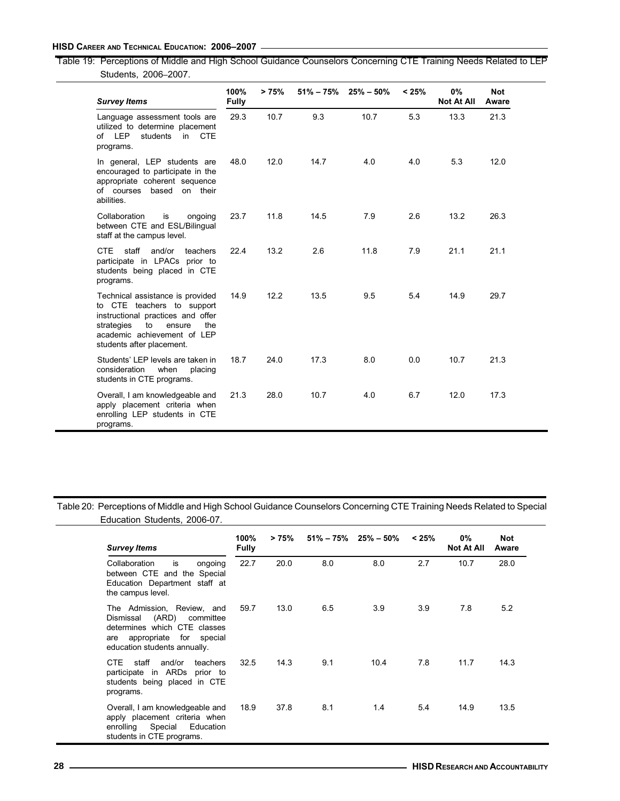Table 19: Perceptions of Middle and High School Guidance Counselors Concerning CTE Training Needs Related to LEP Students, 2006–2007.

| <b>Survey Items</b>                                                                                                                                                                                  | 100%<br><b>Fully</b> | >75% |      | $51\% - 75\%$ 25% $-50\%$ | < 25% | 0%<br><b>Not At All</b> | <b>Not</b><br>Aware |  |
|------------------------------------------------------------------------------------------------------------------------------------------------------------------------------------------------------|----------------------|------|------|---------------------------|-------|-------------------------|---------------------|--|
| Language assessment tools are<br>utilized to determine placement<br><b>CTE</b><br>of LEP<br>$\mathsf{in}$<br>students<br>programs.                                                                   | 29.3                 | 10.7 | 9.3  | 10.7                      | 5.3   | 13.3                    | 21.3                |  |
| In general, LEP students are<br>encouraged to participate in the<br>appropriate coherent sequence<br>of courses<br>based on their<br>abilities.                                                      | 48.0                 | 12.0 | 14.7 | 4.0                       | 4.0   | 5.3                     | 12.0                |  |
| is<br>Collaboration<br>ongoing<br>between CTE and ESL/Bilingual<br>staff at the campus level.                                                                                                        | 23.7                 | 11.8 | 14.5 | 7.9                       | 2.6   | 13.2                    | 26.3                |  |
| CTE<br>staff<br>and/or<br>teachers<br>participate in LPACs prior to<br>students being placed in CTE<br>programs.                                                                                     | 22.4                 | 13.2 | 2.6  | 11.8                      | 7.9   | 21.1                    | 21.1                |  |
| Technical assistance is provided<br>to CTE teachers to support<br>instructional practices and offer<br>to<br>strategies<br>ensure<br>the<br>academic achievement of LEP<br>students after placement. | 14.9                 | 12.2 | 13.5 | 9.5                       | 5.4   | 14.9                    | 29.7                |  |
| Students' LEP levels are taken in<br>consideration<br>when<br>placing<br>students in CTE programs.                                                                                                   | 18.7                 | 24.0 | 17.3 | 8.0                       | 0.0   | 10.7                    | 21.3                |  |
| Overall, I am knowledgeable and<br>apply placement criteria when<br>enrolling LEP students in CTE<br>programs.                                                                                       | 21.3                 | 28.0 | 10.7 | 4.0                       | 6.7   | 12.0                    | 17.3                |  |

Table 20: Perceptions of Middle and High School Guidance Counselors Concerning CTE Training Needs Related to Special Education Students, 2006-07.

| <b>Survey Items</b>                                                                                                                                       | 100%<br><b>Fully</b> | >75% |     | $51\% - 75\%$ 25% $-50\%$ | < 25% | $0\%$<br><b>Not At All</b> | Not<br>Aware |
|-----------------------------------------------------------------------------------------------------------------------------------------------------------|----------------------|------|-----|---------------------------|-------|----------------------------|--------------|
| is<br>Collaboration<br>ongoing<br>between CTE and the Special<br>Education Department staff at<br>the campus level.                                       | 22.7                 | 20.0 | 8.0 | 8.0                       | 2.7   | 10.7                       | 28.0         |
| The Admission, Review, and<br>(ARD) committee<br>Dismissal<br>determines which CTE classes<br>are appropriate for special<br>education students annually. | 59.7                 | 13.0 | 6.5 | 3.9                       | 3.9   | 7.8                        | 5.2          |
| staff<br>and/or<br>CTE.<br>teachers<br>participate in ARDs prior to<br>students being placed in CTE<br>programs.                                          | 32.5                 | 14.3 | 9.1 | 10.4                      | 7.8   | 11.7                       | 14.3         |
| Overall, I am knowledgeable and<br>apply placement criteria when<br>enrolling Special<br>Education<br>students in CTE programs.                           | 18.9                 | 37.8 | 8.1 | 1.4                       | 5.4   | 14.9                       | 13.5         |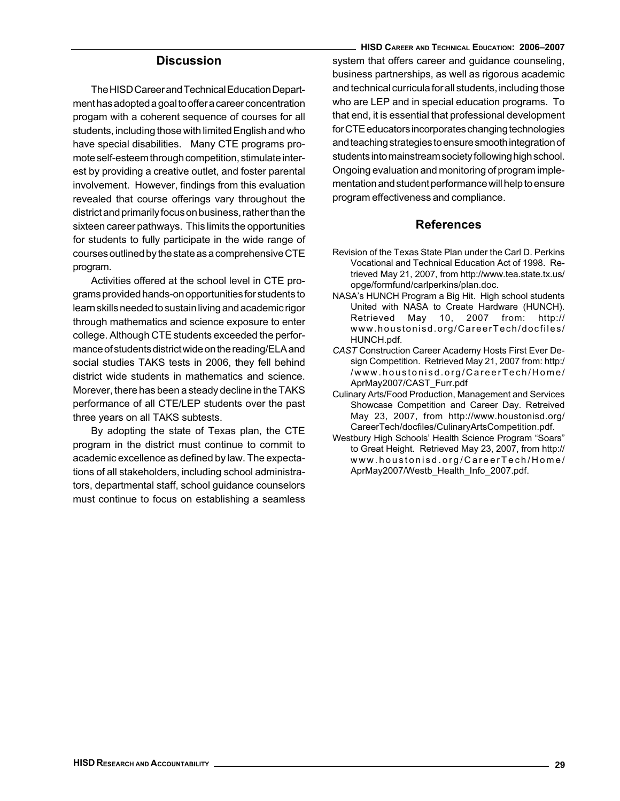# **Discussion**

The HISD Career and Technical Education Department has adopted a goal to offer a career concentration progam with a coherent sequence of courses for all students, including those with limited English and who have special disabilities. Many CTE programs promote self-esteem through competition, stimulate interest by providing a creative outlet, and foster parental involvement. However, findings from this evaluation revealed that course offerings vary throughout the district and primarily focus on business, rather than the sixteen career pathways. This limits the opportunities for students to fully participate in the wide range of courses outlined by the state as a comprehensive CTE program.

Activities offered at the school level in CTE programs provided hands-on opportunities for students to learn skills needed to sustain living and academic rigor through mathematics and science exposure to enter college. Although CTE students exceeded the performance of students district wide on the reading/ELA and social studies TAKS tests in 2006, they fell behind district wide students in mathematics and science. Morever, there has been a steady decline in the TAKS performance of all CTE/LEP students over the past three years on all TAKS subtests.

By adopting the state of Texas plan, the CTE program in the district must continue to commit to academic excellence as defined by law. The expectations of all stakeholders, including school administrators, departmental staff, school guidance counselors must continue to focus on establishing a seamless

HISD CAREER AND TECHNICAL EDUCATION: 2006–2007 system that offers career and guidance counseling, business partnerships, as well as rigorous academic and technical curricula for all students, including those who are LEP and in special education programs. To that end, it is essential that professional development for CTE educators incorporates changing technologies and teaching strategies to ensure smooth integration of students into mainstream society following high school. Ongoing evaluation and monitoring of program implementation and student performance will help to ensure program effectiveness and compliance.

### References

- Revision of the Texas State Plan under the Carl D. Perkins Vocational and Technical Education Act of 1998. Retrieved May 21, 2007, from http://www.tea.state.tx.us/ opge/formfund/carlperkins/plan.doc.
- NASA's HUNCH Program a Big Hit. High school students United with NASA to Create Hardware (HUNCH). Retrieved May 10, 2007 from: http:// www.houstonisd.org/CareerTech/docfiles/ HUNCH.pdf.
- CAST Construction Career Academy Hosts First Ever Design Competition. Retrieved May 21, 2007 from: http:/ /www.houstonisd.org/CareerTech/Home/ AprMay2007/CAST\_Furr.pdf
- Culinary Arts/Food Production, Management and Services Showcase Competition and Career Day. Retreived May 23, 2007, from http://www.houstonisd.org/ CareerTech/docfiles/CulinaryArtsCompetition.pdf.
- Westbury High Schools' Health Science Program "Soars" to Great Height. Retrieved May 23, 2007, from http:// www.houstonisd.org/CareerTech/Home/ AprMay2007/Westb\_Health\_Info\_2007.pdf.